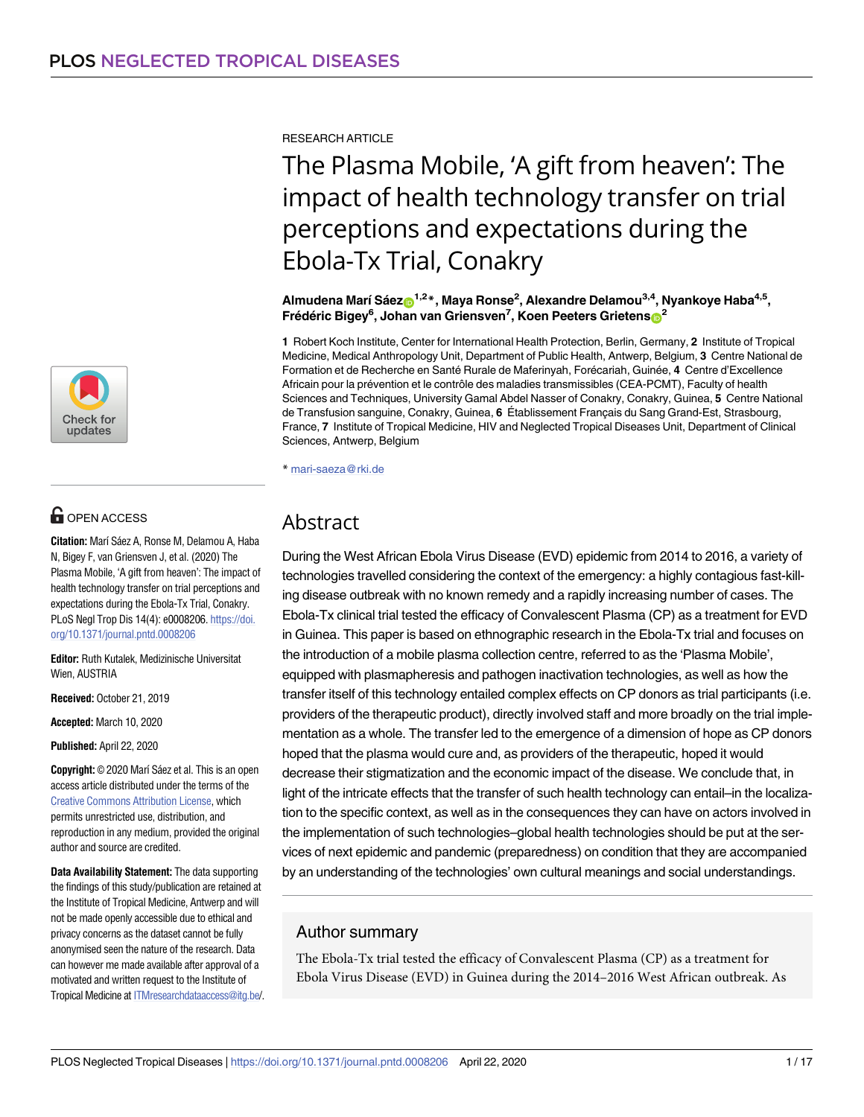

# **G** OPEN ACCESS

**Citation:** Marí Sáez A, Ronse M, Delamou A, Haba N, Bigey F, van Griensven J, et al. (2020) The Plasma Mobile, 'A gift from heaven': The impact of health technology transfer on trial perceptions and expectations during the Ebola-Tx Trial, Conakry. PLoS Negl Trop Dis 14(4): e0008206. [https://doi.](https://doi.org/10.1371/journal.pntd.0008206) [org/10.1371/journal.pntd.0008206](https://doi.org/10.1371/journal.pntd.0008206)

**Editor:** Ruth Kutalek, Medizinische Universitat Wien, AUSTRIA

**Received:** October 21, 2019

**Accepted:** March 10, 2020

**Published:** April 22, 2020

**Copyright:** © 2020 Marí Sáez et al. This is an open access article distributed under the terms of the Creative Commons [Attribution](http://creativecommons.org/licenses/by/4.0/) License, which permits unrestricted use, distribution, and reproduction in any medium, provided the original author and source are credited.

**Data Availability Statement:** The data supporting the findings of this study/publication are retained at the Institute of Tropical Medicine, Antwerp and will not be made openly accessible due to ethical and privacy concerns as the dataset cannot be fully anonymised seen the nature of the research. Data can however me made available after approval of a motivated and written request to the Institute of Tropical Medicine at [ITMresearchdataaccess@itg.be/](http://creativecommons.org/licenses/by/4.0/). RESEARCH ARTICLE

# The Plasma Mobile, 'A gift from heaven': The impact of health technology transfer on trial perceptions and expectations during the Ebola-Tx Trial, Conakry

**Almudena Marı´ Sa´ez[ID1](http://orcid.org/0000-0002-5429-8485),2\*, Maya Ronse2 , Alexandre Delamou3,4, Nyankoye Haba4,5,**  $F$ rédéric Bigey<sup>6</sup>, Johan van Griensven<sup>7</sup>, Koen Peeters Grietens

**1** Robert Koch Institute, Center for International Health Protection, Berlin, Germany, **2** Institute of Tropical Medicine, Medical Anthropology Unit, Department of Public Health, Antwerp, Belgium, **3** Centre National de Formation et de Recherche en Santé Rurale de Maferinyah, Forécariah, Guinée, 4 Centre d'Excellence Africain pour la prévention et le contrôle des maladies transmissibles (CEA-PCMT), Faculty of health Sciences and Techniques, University Gamal Abdel Nasser of Conakry, Conakry, Guinea, **5** Centre National de Transfusion sanguine, Conakry, Guinea, 6 Etablissement Français du Sang Grand-Est, Strasbourg, France, **7** Institute of Tropical Medicine, HIV and Neglected Tropical Diseases Unit, Department of Clinical Sciences, Antwerp, Belgium

\* mari-saeza@rki.de

# Abstract

During the West African Ebola Virus Disease (EVD) epidemic from 2014 to 2016, a variety of technologies travelled considering the context of the emergency: a highly contagious fast-killing disease outbreak with no known remedy and a rapidly increasing number of cases. The Ebola-Tx clinical trial tested the efficacy of Convalescent Plasma (CP) as a treatment for EVD in Guinea. This paper is based on ethnographic research in the Ebola-Tx trial and focuses on the introduction of a mobile plasma collection centre, referred to as the 'Plasma Mobile', equipped with plasmapheresis and pathogen inactivation technologies, as well as how the transfer itself of this technology entailed complex effects on CP donors as trial participants (i.e. providers of the therapeutic product), directly involved staff and more broadly on the trial implementation as a whole. The transfer led to the emergence of a dimension of hope as CP donors hoped that the plasma would cure and, as providers of the therapeutic, hoped it would decrease their stigmatization and the economic impact of the disease. We conclude that, in light of the intricate effects that the transfer of such health technology can entail–in the localization to the specific context, as well as in the consequences they can have on actors involved in the implementation of such technologies–global health technologies should be put at the services of next epidemic and pandemic (preparedness) on condition that they are accompanied by an understanding of the technologies' own cultural meanings and social understandings.

# Author summary

The Ebola-Tx trial tested the efficacy of Convalescent Plasma (CP) as a treatment for Ebola Virus Disease (EVD) in Guinea during the 2014–2016 West African outbreak. As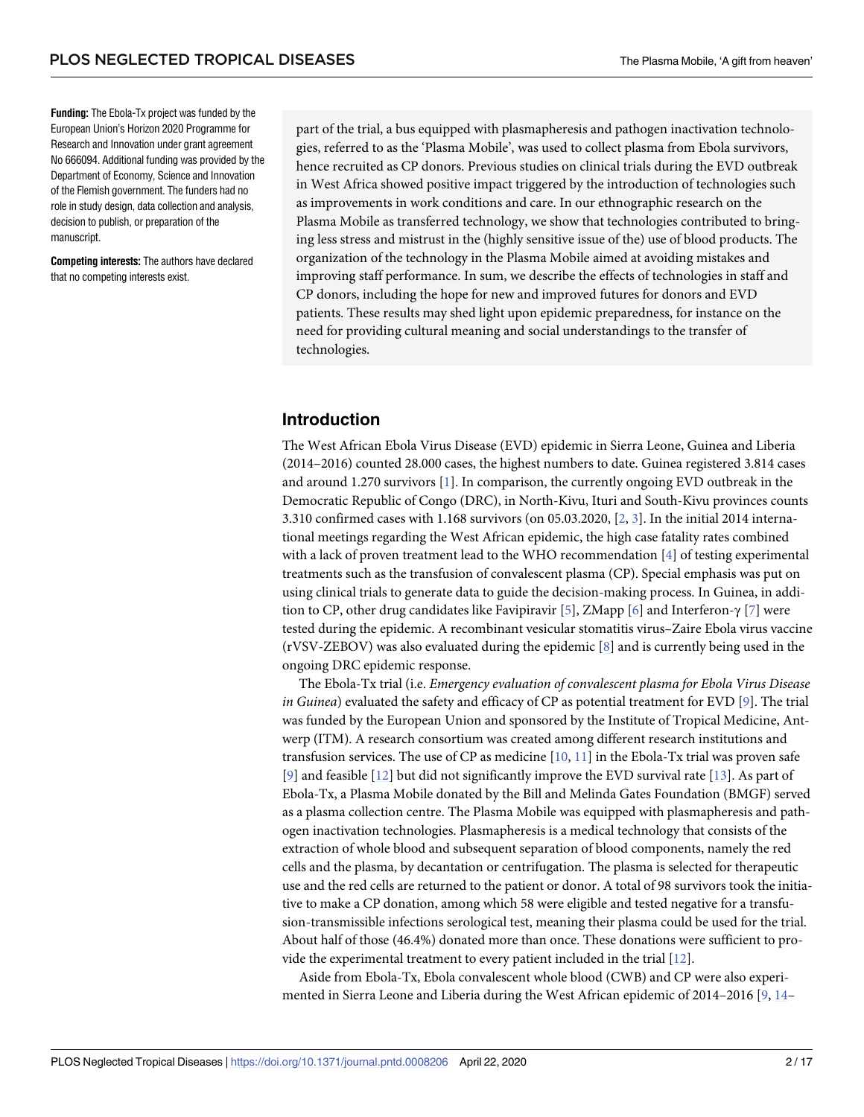<span id="page-1-0"></span>**Funding:** The Ebola-Tx project was funded by the European Union's Horizon 2020 Programme for Research and Innovation under grant agreement No 666094. Additional funding was provided by the Department of Economy, Science and Innovation of the Flemish government. The funders had no role in study design, data collection and analysis, decision to publish, or preparation of the manuscript.

**Competing interests:** The authors have declared that no competing interests exist.

part of the trial, a bus equipped with plasmapheresis and pathogen inactivation technologies, referred to as the 'Plasma Mobile', was used to collect plasma from Ebola survivors, hence recruited as CP donors. Previous studies on clinical trials during the EVD outbreak in West Africa showed positive impact triggered by the introduction of technologies such as improvements in work conditions and care. In our ethnographic research on the Plasma Mobile as transferred technology, we show that technologies contributed to bringing less stress and mistrust in the (highly sensitive issue of the) use of blood products. The organization of the technology in the Plasma Mobile aimed at avoiding mistakes and improving staff performance. In sum, we describe the effects of technologies in staff and CP donors, including the hope for new and improved futures for donors and EVD patients. These results may shed light upon epidemic preparedness, for instance on the need for providing cultural meaning and social understandings to the transfer of technologies.

# **Introduction**

The West African Ebola Virus Disease (EVD) epidemic in Sierra Leone, Guinea and Liberia (2014–2016) counted 28.000 cases, the highest numbers to date. Guinea registered 3.814 cases and around 1.270 survivors [[1](#page-13-0)]. In comparison, the currently ongoing EVD outbreak in the Democratic Republic of Congo (DRC), in North-Kivu, Ituri and South-Kivu provinces counts 3.310 confirmed cases with 1.168 survivors (on 05.03.2020, [[2](#page-13-0), [3\]](#page-13-0). In the initial 2014 international meetings regarding the West African epidemic, the high case fatality rates combined with a lack of proven treatment lead to the WHO recommendation [[4\]](#page-13-0) of testing experimental treatments such as the transfusion of convalescent plasma (CP). Special emphasis was put on using clinical trials to generate data to guide the decision-making process. In Guinea, in addi-tion to CP, other drug candidates like Favipiravir [\[5](#page-13-0)], ZMapp [\[6\]](#page-14-0) and Interferon-γ [[7\]](#page-14-0) were tested during the epidemic. A recombinant vesicular stomatitis virus–Zaire Ebola virus vaccine (rVSV-ZEBOV) was also evaluated during the epidemic [[8](#page-14-0)] and is currently being used in the ongoing DRC epidemic response.

The Ebola-Tx trial (i.e. *Emergency evaluation of convalescent plasma for Ebola Virus Disease in Guinea*) evaluated the safety and efficacy of CP as potential treatment for EVD [[9](#page-14-0)]. The trial was funded by the European Union and sponsored by the Institute of Tropical Medicine, Antwerp (ITM). A research consortium was created among different research institutions and transfusion services. The use of CP as medicine  $[10, 11]$  $[10, 11]$  $[10, 11]$  in the Ebola-Tx trial was proven safe [\[9](#page-14-0)] and feasible [\[12\]](#page-14-0) but did not significantly improve the EVD survival rate [[13](#page-14-0)]. As part of Ebola-Tx, a Plasma Mobile donated by the Bill and Melinda Gates Foundation (BMGF) served as a plasma collection centre. The Plasma Mobile was equipped with plasmapheresis and pathogen inactivation technologies. Plasmapheresis is a medical technology that consists of the extraction of whole blood and subsequent separation of blood components, namely the red cells and the plasma, by decantation or centrifugation. The plasma is selected for therapeutic use and the red cells are returned to the patient or donor. A total of 98 survivors took the initiative to make a CP donation, among which 58 were eligible and tested negative for a transfusion-transmissible infections serological test, meaning their plasma could be used for the trial. About half of those (46.4%) donated more than once. These donations were sufficient to provide the experimental treatment to every patient included in the trial [\[12\]](#page-14-0).

Aside from Ebola-Tx, Ebola convalescent whole blood (CWB) and CP were also experimented in Sierra Leone and Liberia during the West African epidemic of 2014–2016 [[9](#page-14-0), [14](#page-14-0)–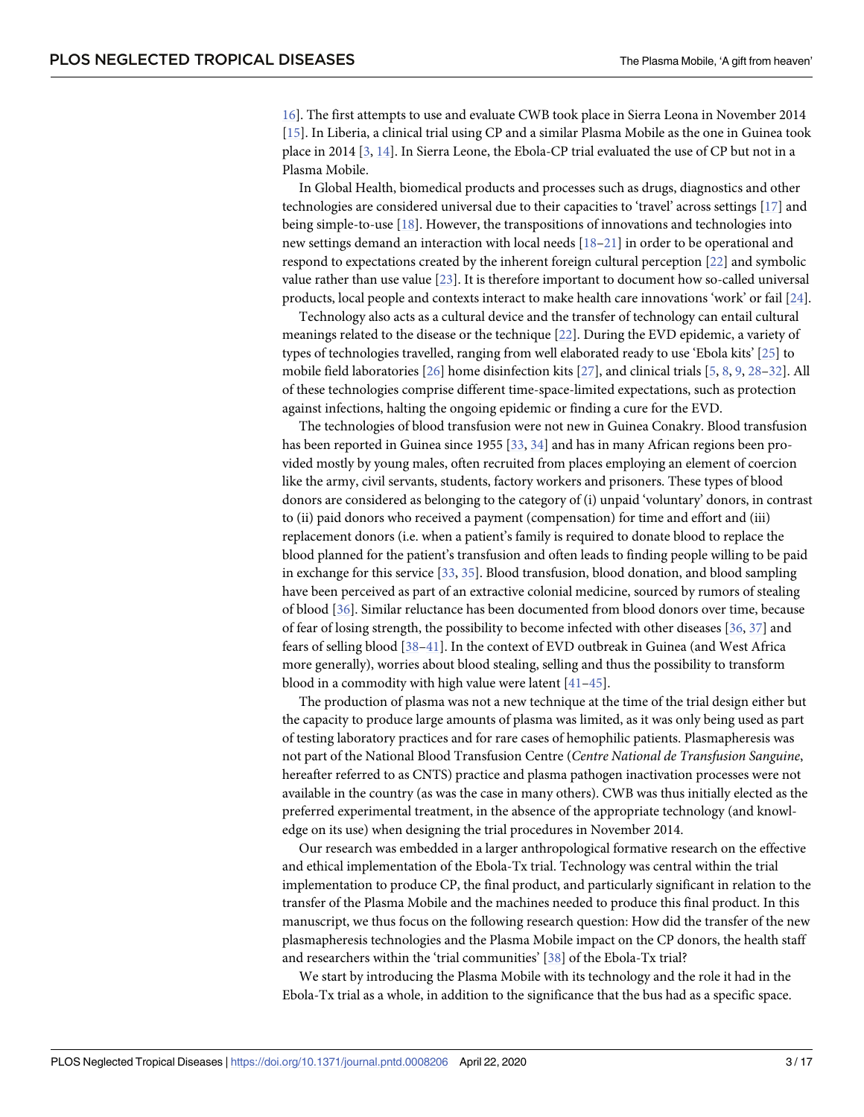<span id="page-2-0"></span>[16\]](#page-14-0). The first attempts to use and evaluate CWB took place in Sierra Leona in November 2014 [\[15\]](#page-14-0). In Liberia, a clinical trial using CP and a similar Plasma Mobile as the one in Guinea took place in 2014 [[3](#page-13-0), [14](#page-14-0)]. In Sierra Leone, the Ebola-CP trial evaluated the use of CP but not in a Plasma Mobile.

In Global Health, biomedical products and processes such as drugs, diagnostics and other technologies are considered universal due to their capacities to 'travel' across settings [\[17\]](#page-14-0) and being simple-to-use [\[18\]](#page-14-0). However, the transpositions of innovations and technologies into new settings demand an interaction with local needs [\[18–21\]](#page-14-0) in order to be operational and respond to expectations created by the inherent foreign cultural perception [\[22\]](#page-14-0) and symbolic value rather than use value [[23](#page-14-0)]. It is therefore important to document how so-called universal products, local people and contexts interact to make health care innovations 'work' or fail [\[24\]](#page-15-0).

Technology also acts as a cultural device and the transfer of technology can entail cultural meanings related to the disease or the technique [\[22\]](#page-14-0). During the EVD epidemic, a variety of types of technologies travelled, ranging from well elaborated ready to use 'Ebola kits' [\[25\]](#page-15-0) to mobile field laboratories [[26\]](#page-15-0) home disinfection kits [[27](#page-15-0)], and clinical trials [[5](#page-13-0), [8,](#page-14-0) [9,](#page-14-0) [28–32\]](#page-15-0). All of these technologies comprise different time-space-limited expectations, such as protection against infections, halting the ongoing epidemic or finding a cure for the EVD.

The technologies of blood transfusion were not new in Guinea Conakry. Blood transfusion has been reported in Guinea since 1955 [\[33,](#page-15-0) [34\]](#page-15-0) and has in many African regions been provided mostly by young males, often recruited from places employing an element of coercion like the army, civil servants, students, factory workers and prisoners. These types of blood donors are considered as belonging to the category of (i) unpaid 'voluntary' donors, in contrast to (ii) paid donors who received a payment (compensation) for time and effort and (iii) replacement donors (i.e. when a patient's family is required to donate blood to replace the blood planned for the patient's transfusion and often leads to finding people willing to be paid in exchange for this service [\[33,](#page-15-0) [35\]](#page-15-0). Blood transfusion, blood donation, and blood sampling have been perceived as part of an extractive colonial medicine, sourced by rumors of stealing of blood [[36](#page-15-0)]. Similar reluctance has been documented from blood donors over time, because of fear of losing strength, the possibility to become infected with other diseases [\[36,](#page-15-0) [37](#page-15-0)] and fears of selling blood [\[38–41\]](#page-15-0). In the context of EVD outbreak in Guinea (and West Africa more generally), worries about blood stealing, selling and thus the possibility to transform blood in a commodity with high value were latent [[41](#page-15-0)–[45](#page-16-0)].

The production of plasma was not a new technique at the time of the trial design either but the capacity to produce large amounts of plasma was limited, as it was only being used as part of testing laboratory practices and for rare cases of hemophilic patients. Plasmapheresis was not part of the National Blood Transfusion Centre (*Centre National de Transfusion Sanguine*, hereafter referred to as CNTS) practice and plasma pathogen inactivation processes were not available in the country (as was the case in many others). CWB was thus initially elected as the preferred experimental treatment, in the absence of the appropriate technology (and knowledge on its use) when designing the trial procedures in November 2014.

Our research was embedded in a larger anthropological formative research on the effective and ethical implementation of the Ebola-Tx trial. Technology was central within the trial implementation to produce CP, the final product, and particularly significant in relation to the transfer of the Plasma Mobile and the machines needed to produce this final product. In this manuscript, we thus focus on the following research question: How did the transfer of the new plasmapheresis technologies and the Plasma Mobile impact on the CP donors, the health staff and researchers within the 'trial communities' [\[38\]](#page-15-0) of the Ebola-Tx trial?

We start by introducing the Plasma Mobile with its technology and the role it had in the Ebola-Tx trial as a whole, in addition to the significance that the bus had as a specific space.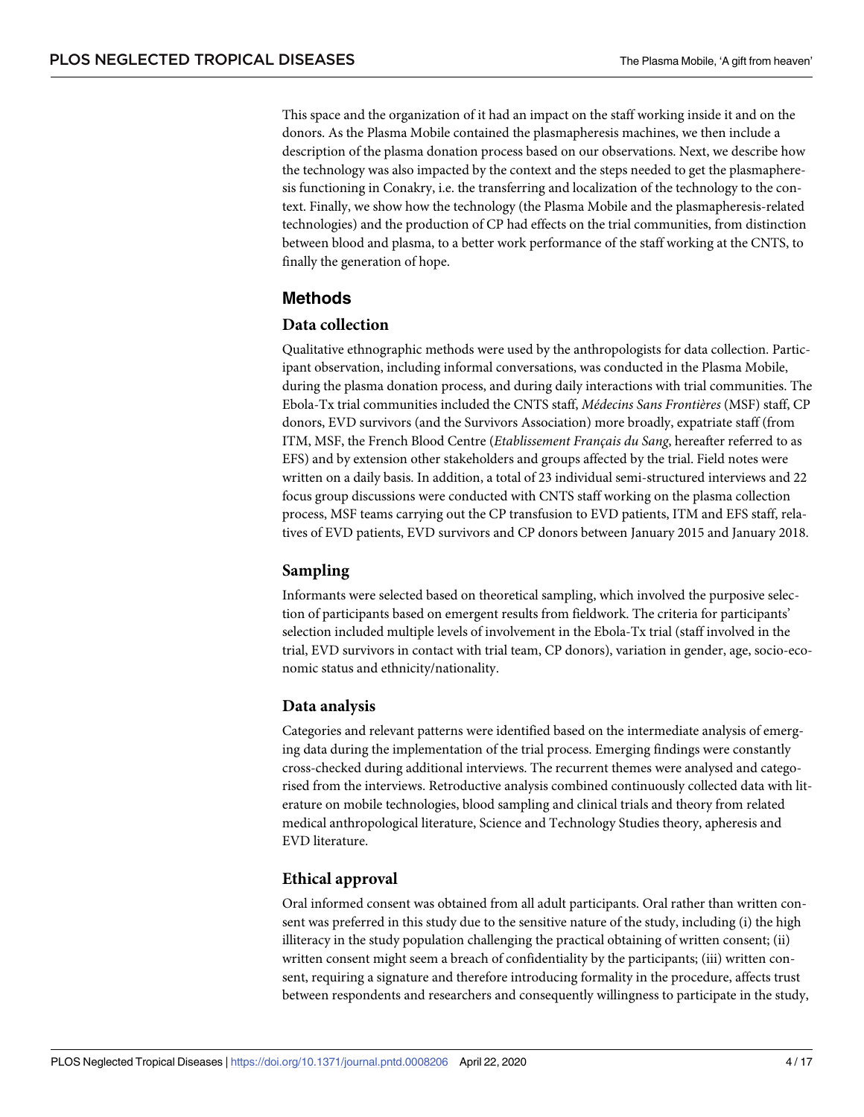This space and the organization of it had an impact on the staff working inside it and on the donors. As the Plasma Mobile contained the plasmapheresis machines, we then include a description of the plasma donation process based on our observations. Next, we describe how the technology was also impacted by the context and the steps needed to get the plasmapheresis functioning in Conakry, i.e. the transferring and localization of the technology to the context. Finally, we show how the technology (the Plasma Mobile and the plasmapheresis-related technologies) and the production of CP had effects on the trial communities, from distinction between blood and plasma, to a better work performance of the staff working at the CNTS, to finally the generation of hope.

# **Methods**

### **Data collection**

Qualitative ethnographic methods were used by the anthropologists for data collection. Participant observation, including informal conversations, was conducted in the Plasma Mobile, during the plasma donation process, and during daily interactions with trial communities. The Ebola-Tx trial communities included the CNTS staff, *Médecins Sans Frontières* (MSF) staff, CP donors, EVD survivors (and the Survivors Association) more broadly, expatriate staff (from ITM, MSF, the French Blood Centre (*Etablissement Français du Sang*, hereafter referred to as EFS) and by extension other stakeholders and groups affected by the trial. Field notes were written on a daily basis. In addition, a total of 23 individual semi-structured interviews and 22 focus group discussions were conducted with CNTS staff working on the plasma collection process, MSF teams carrying out the CP transfusion to EVD patients, ITM and EFS staff, relatives of EVD patients, EVD survivors and CP donors between January 2015 and January 2018.

# **Sampling**

Informants were selected based on theoretical sampling, which involved the purposive selection of participants based on emergent results from fieldwork. The criteria for participants' selection included multiple levels of involvement in the Ebola-Tx trial (staff involved in the trial, EVD survivors in contact with trial team, CP donors), variation in gender, age, socio-economic status and ethnicity/nationality.

# **Data analysis**

Categories and relevant patterns were identified based on the intermediate analysis of emerging data during the implementation of the trial process. Emerging findings were constantly cross-checked during additional interviews. The recurrent themes were analysed and categorised from the interviews. Retroductive analysis combined continuously collected data with literature on mobile technologies, blood sampling and clinical trials and theory from related medical anthropological literature, Science and Technology Studies theory, apheresis and EVD literature.

# **Ethical approval**

Oral informed consent was obtained from all adult participants. Oral rather than written consent was preferred in this study due to the sensitive nature of the study, including (i) the high illiteracy in the study population challenging the practical obtaining of written consent; (ii) written consent might seem a breach of confidentiality by the participants; (iii) written consent, requiring a signature and therefore introducing formality in the procedure, affects trust between respondents and researchers and consequently willingness to participate in the study,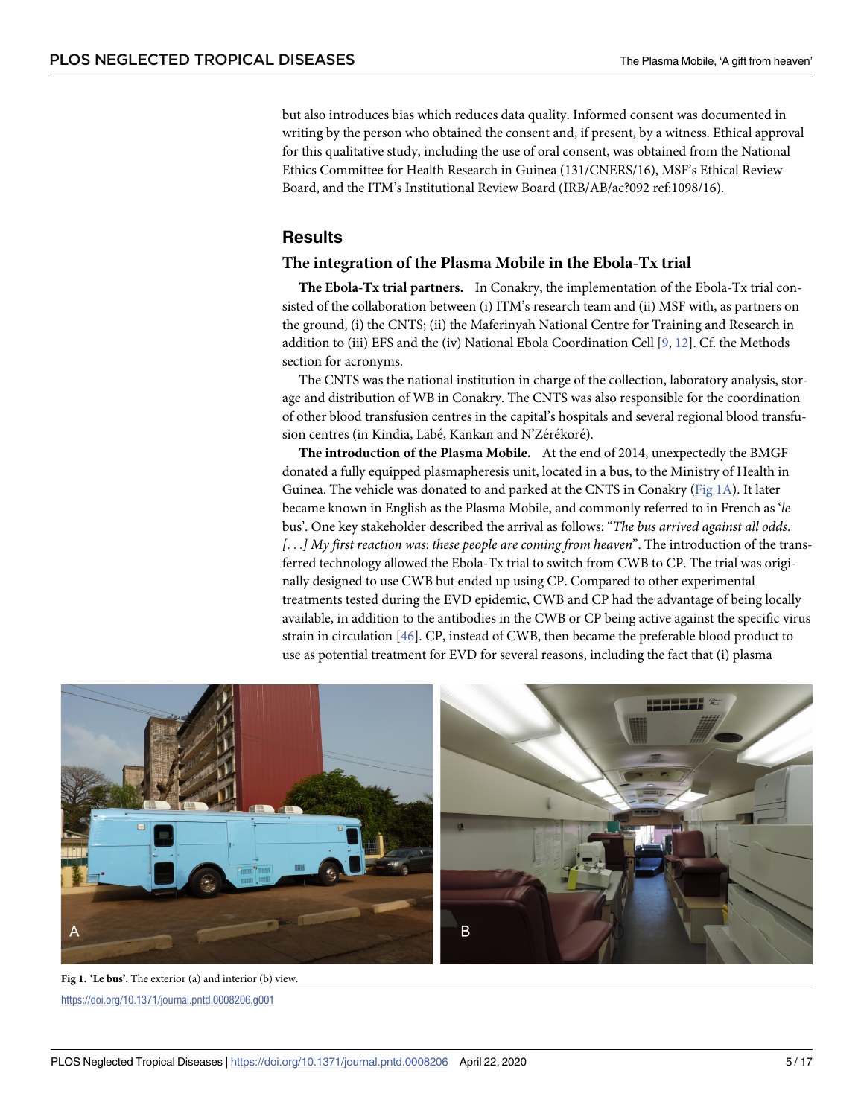<span id="page-4-0"></span>but also introduces bias which reduces data quality. Informed consent was documented in writing by the person who obtained the consent and, if present, by a witness. Ethical approval for this qualitative study, including the use of oral consent, was obtained from the National Ethics Committee for Health Research in Guinea (131/CNERS/16), MSF's Ethical Review Board, and the ITM's Institutional Review Board (IRB/AB/ac?092 ref:1098/16).

#### **Results**

#### **The integration of the Plasma Mobile in the Ebola-Tx trial**

**The Ebola-Tx trial partners.** In Conakry, the implementation of the Ebola-Tx trial consisted of the collaboration between (i) ITM's research team and (ii) MSF with, as partners on the ground, (i) the CNTS; (ii) the Maferinyah National Centre for Training and Research in addition to (iii) EFS and the (iv) National Ebola Coordination Cell [\[9,](#page-14-0) [12\]](#page-14-0). Cf. the Methods section for acronyms.

The CNTS was the national institution in charge of the collection, laboratory analysis, storage and distribution of WB in Conakry. The CNTS was also responsible for the coordination of other blood transfusion centres in the capital's hospitals and several regional blood transfusion centres (in Kindia, Labé, Kankan and N'Zérékoré).

**The introduction of the Plasma Mobile.** At the end of 2014, unexpectedly the BMGF donated a fully equipped plasmapheresis unit, located in a bus, to the Ministry of Health in Guinea. The vehicle was donated to and parked at the CNTS in Conakry (Fig 1A). It later became known in English as the Plasma Mobile, and commonly referred to in French as '*le* bus'. One key stakeholder described the arrival as follows: "*The bus arrived against all odds*. *[*. . .*] My first reaction was*: *these people are coming from heaven*". The introduction of the transferred technology allowed the Ebola-Tx trial to switch from CWB to CP. The trial was originally designed to use CWB but ended up using CP. Compared to other experimental treatments tested during the EVD epidemic, CWB and CP had the advantage of being locally available, in addition to the antibodies in the CWB or CP being active against the specific virus strain in circulation [\[46\]](#page-16-0). CP, instead of CWB, then became the preferable blood product to use as potential treatment for EVD for several reasons, including the fact that (i) plasma



**Fig 1. 'Le bus'.** The exterior (a) and interior (b) view. <https://doi.org/10.1371/journal.pntd.0008206.g001>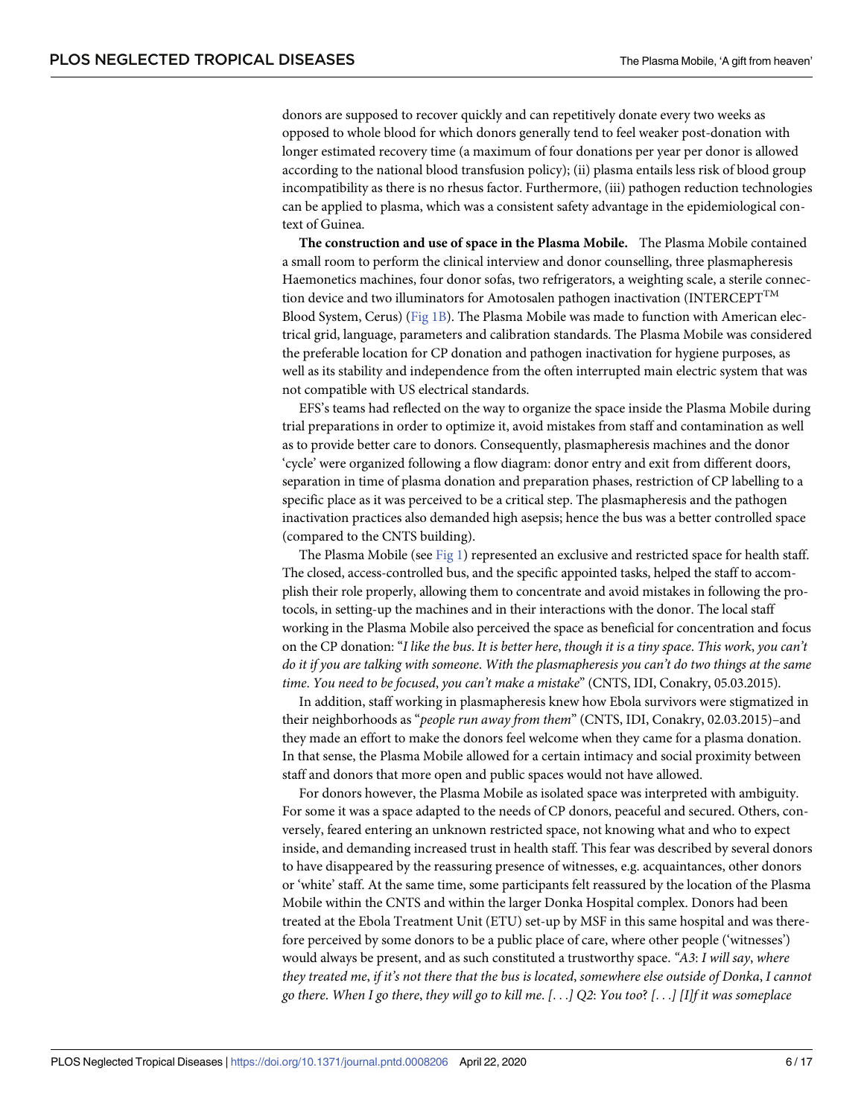donors are supposed to recover quickly and can repetitively donate every two weeks as opposed to whole blood for which donors generally tend to feel weaker post-donation with longer estimated recovery time (a maximum of four donations per year per donor is allowed according to the national blood transfusion policy); (ii) plasma entails less risk of blood group incompatibility as there is no rhesus factor. Furthermore, (iii) pathogen reduction technologies can be applied to plasma, which was a consistent safety advantage in the epidemiological context of Guinea.

**The construction and use of space in the Plasma Mobile.** The Plasma Mobile contained a small room to perform the clinical interview and donor counselling, three plasmapheresis Haemonetics machines, four donor sofas, two refrigerators, a weighting scale, a sterile connection device and two illuminators for Amotosalen pathogen inactivation (INTERCEPT $^{TM}$ Blood System, Cerus) [\(Fig](#page-4-0) 1B). The Plasma Mobile was made to function with American electrical grid, language, parameters and calibration standards. The Plasma Mobile was considered the preferable location for CP donation and pathogen inactivation for hygiene purposes, as well as its stability and independence from the often interrupted main electric system that was not compatible with US electrical standards.

EFS's teams had reflected on the way to organize the space inside the Plasma Mobile during trial preparations in order to optimize it, avoid mistakes from staff and contamination as well as to provide better care to donors. Consequently, plasmapheresis machines and the donor 'cycle' were organized following a flow diagram: donor entry and exit from different doors, separation in time of plasma donation and preparation phases, restriction of CP labelling to a specific place as it was perceived to be a critical step. The plasmapheresis and the pathogen inactivation practices also demanded high asepsis; hence the bus was a better controlled space (compared to the CNTS building).

The Plasma Mobile (see [Fig](#page-4-0) 1) represented an exclusive and restricted space for health staff. The closed, access-controlled bus, and the specific appointed tasks, helped the staff to accomplish their role properly, allowing them to concentrate and avoid mistakes in following the protocols, in setting-up the machines and in their interactions with the donor. The local staff working in the Plasma Mobile also perceived the space as beneficial for concentration and focus on the CP donation: "I like the bus. It is better here, though it is a tiny space. This work, you can't do it if you are talking with someone. With the plasmapheresis you can't do two things at the same *time*. *You need to be focused*, *you can't make a mistake*" (CNTS, IDI, Conakry, 05.03.2015).

In addition, staff working in plasmapheresis knew how Ebola survivors were stigmatized in their neighborhoods as "*people run away from them*" (CNTS, IDI, Conakry, 02.03.2015)–and they made an effort to make the donors feel welcome when they came for a plasma donation. In that sense, the Plasma Mobile allowed for a certain intimacy and social proximity between staff and donors that more open and public spaces would not have allowed.

For donors however, the Plasma Mobile as isolated space was interpreted with ambiguity. For some it was a space adapted to the needs of CP donors, peaceful and secured. Others, conversely, feared entering an unknown restricted space, not knowing what and who to expect inside, and demanding increased trust in health staff. This fear was described by several donors to have disappeared by the reassuring presence of witnesses, e.g. acquaintances, other donors or 'white' staff. At the same time, some participants felt reassured by the location of the Plasma Mobile within the CNTS and within the larger Donka Hospital complex. Donors had been treated at the Ebola Treatment Unit (ETU) set-up by MSF in this same hospital and was therefore perceived by some donors to be a public place of care, where other people ('witnesses') would always be present, and as such constituted a trustworthy space. *"A3*: *I will say*, *where* they treated me, if it's not there that the bus is located, somewhere else outside of Donka, I cannot go there. When I go there, they will go to kill me. [...] Q2: You too? [...] [I]f it was someplace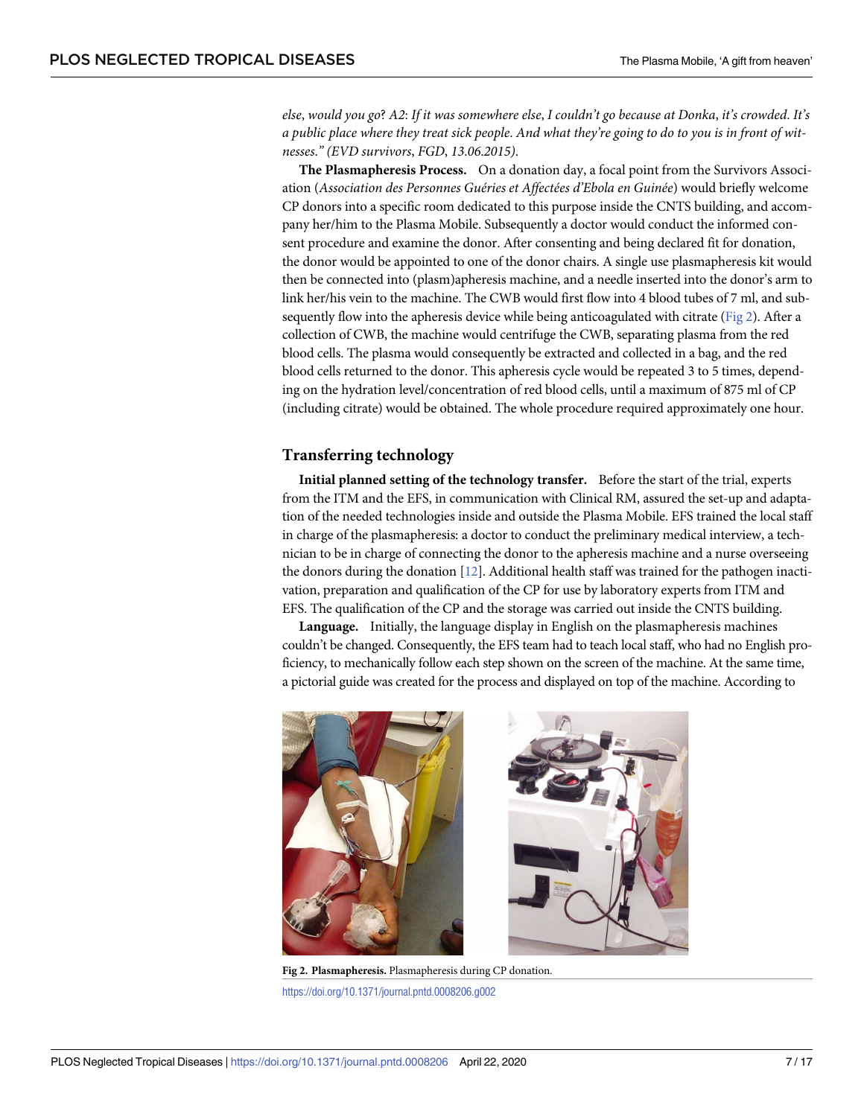else, would you go? A2: If it was somewhere else, I couldn't go because at Donka, it's crowded. It's a public place where they treat sick people. And what they're going to do to you is in front of wit*nesses*.*" (EVD survivors*, *FGD*, *13*.*06*.*2015)*.

**The Plasmapheresis Process.** On a donation day, a focal point from the Survivors Association (*Association des Personnes Guéries et Affectées d'Ebola en Guinée*) would briefly welcome CP donors into a specific room dedicated to this purpose inside the CNTS building, and accompany her/him to the Plasma Mobile. Subsequently a doctor would conduct the informed consent procedure and examine the donor. After consenting and being declared fit for donation, the donor would be appointed to one of the donor chairs. A single use plasmapheresis kit would then be connected into (plasm)apheresis machine, and a needle inserted into the donor's arm to link her/his vein to the machine. The CWB would first flow into 4 blood tubes of 7 ml, and subsequently flow into the apheresis device while being anticoagulated with citrate (Fig 2). After a collection of CWB, the machine would centrifuge the CWB, separating plasma from the red blood cells. The plasma would consequently be extracted and collected in a bag, and the red blood cells returned to the donor. This apheresis cycle would be repeated 3 to 5 times, depending on the hydration level/concentration of red blood cells, until a maximum of 875 ml of CP (including citrate) would be obtained. The whole procedure required approximately one hour.

#### **Transferring technology**

**Initial planned setting of the technology transfer.** Before the start of the trial, experts from the ITM and the EFS, in communication with Clinical RM, assured the set-up and adaptation of the needed technologies inside and outside the Plasma Mobile. EFS trained the local staff in charge of the plasmapheresis: a doctor to conduct the preliminary medical interview, a technician to be in charge of connecting the donor to the apheresis machine and a nurse overseeing the donors during the donation [\[12\]](#page-14-0). Additional health staff was trained for the pathogen inactivation, preparation and qualification of the CP for use by laboratory experts from ITM and EFS. The qualification of the CP and the storage was carried out inside the CNTS building.

**Language.** Initially, the language display in English on the plasmapheresis machines couldn't be changed. Consequently, the EFS team had to teach local staff, who had no English proficiency, to mechanically follow each step shown on the screen of the machine. At the same time, a pictorial guide was created for the process and displayed on top of the machine. According to



**Fig 2. Plasmapheresis.** Plasmapheresis during CP donation. <https://doi.org/10.1371/journal.pntd.0008206.g002>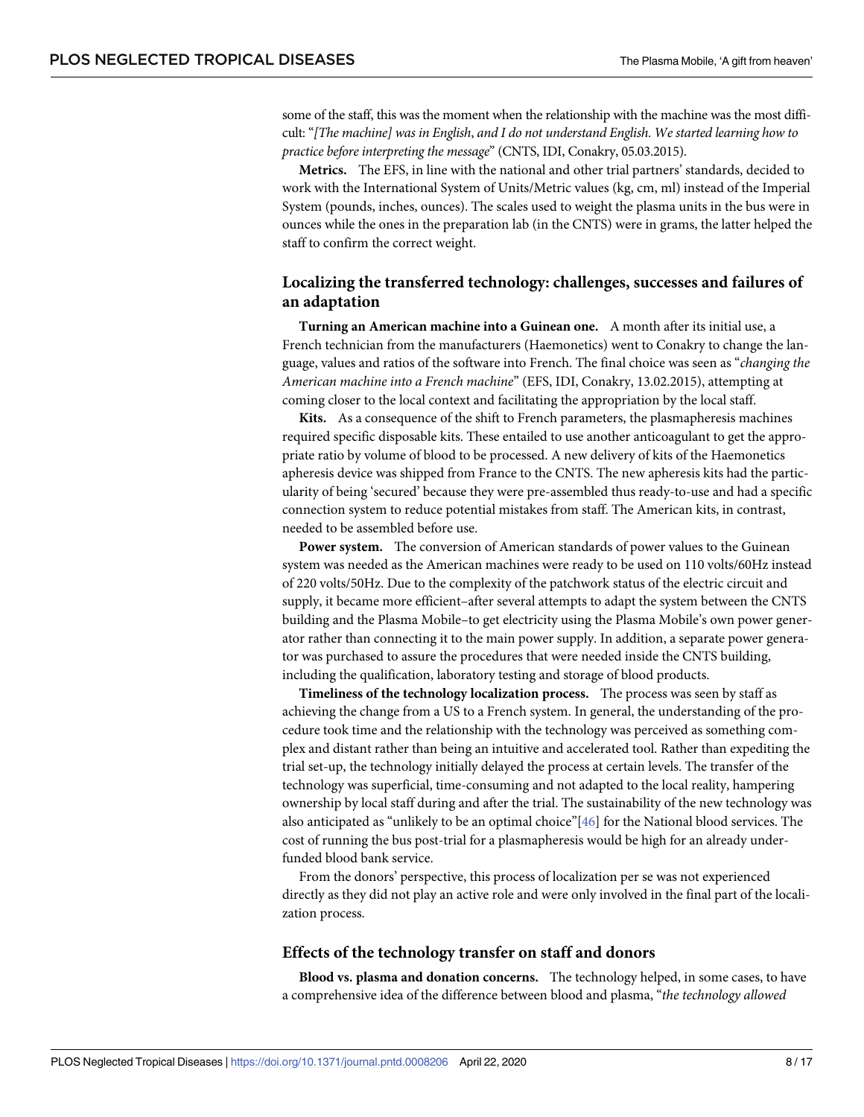some of the staff, this was the moment when the relationship with the machine was the most difficult: "*[The machine] was in English*, *and I do not understand English*. *We started learning how to practice before interpreting the message*" (CNTS, IDI, Conakry, 05.03.2015).

**Metrics.** The EFS, in line with the national and other trial partners' standards, decided to work with the International System of Units/Metric values (kg, cm, ml) instead of the Imperial System (pounds, inches, ounces). The scales used to weight the plasma units in the bus were in ounces while the ones in the preparation lab (in the CNTS) were in grams, the latter helped the staff to confirm the correct weight.

## **Localizing the transferred technology: challenges, successes and failures of an adaptation**

**Turning an American machine into a Guinean one.** A month after its initial use, a French technician from the manufacturers (Haemonetics) went to Conakry to change the language, values and ratios of the software into French. The final choice was seen as "*changing the American machine into a French machine*" (EFS, IDI, Conakry, 13.02.2015), attempting at coming closer to the local context and facilitating the appropriation by the local staff.

**Kits.** As a consequence of the shift to French parameters, the plasmapheresis machines required specific disposable kits. These entailed to use another anticoagulant to get the appropriate ratio by volume of blood to be processed. A new delivery of kits of the Haemonetics apheresis device was shipped from France to the CNTS. The new apheresis kits had the particularity of being 'secured' because they were pre-assembled thus ready-to-use and had a specific connection system to reduce potential mistakes from staff. The American kits, in contrast, needed to be assembled before use.

**Power system.** The conversion of American standards of power values to the Guinean system was needed as the American machines were ready to be used on 110 volts/60Hz instead of 220 volts/50Hz. Due to the complexity of the patchwork status of the electric circuit and supply, it became more efficient–after several attempts to adapt the system between the CNTS building and the Plasma Mobile–to get electricity using the Plasma Mobile's own power generator rather than connecting it to the main power supply. In addition, a separate power generator was purchased to assure the procedures that were needed inside the CNTS building, including the qualification, laboratory testing and storage of blood products.

**Timeliness of the technology localization process.** The process was seen by staff as achieving the change from a US to a French system. In general, the understanding of the procedure took time and the relationship with the technology was perceived as something complex and distant rather than being an intuitive and accelerated tool. Rather than expediting the trial set-up, the technology initially delayed the process at certain levels. The transfer of the technology was superficial, time-consuming and not adapted to the local reality, hampering ownership by local staff during and after the trial. The sustainability of the new technology was also anticipated as "unlikely to be an optimal choice"[[46\]](#page-16-0) for the National blood services. The cost of running the bus post-trial for a plasmapheresis would be high for an already underfunded blood bank service.

From the donors' perspective, this process of localization per se was not experienced directly as they did not play an active role and were only involved in the final part of the localization process.

#### **Effects of the technology transfer on staff and donors**

**Blood vs. plasma and donation concerns.** The technology helped, in some cases, to have a comprehensive idea of the difference between blood and plasma, "*the technology allowed*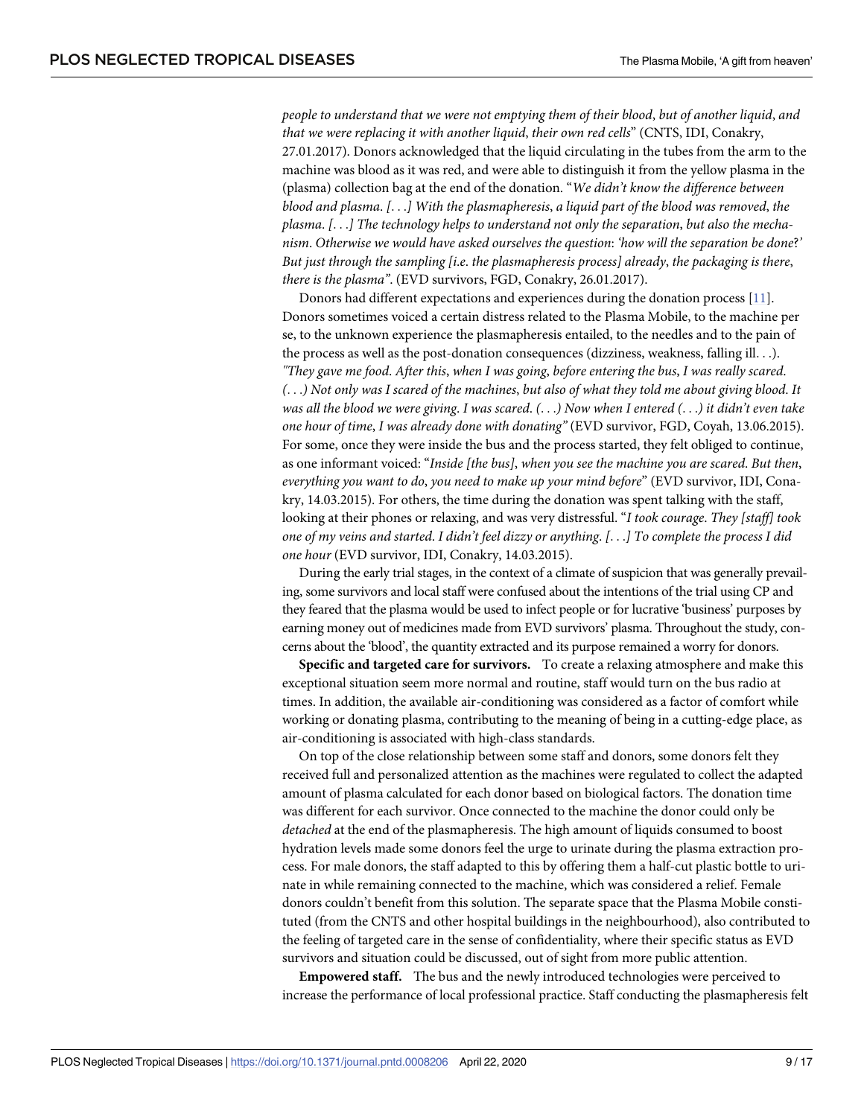*people to understand that we were not emptying them of their blood*, *but of another liquid*, *and that we were replacing it with another liquid*, *their own red cells*" (CNTS, IDI, Conakry, 27.01.2017). Donors acknowledged that the liquid circulating in the tubes from the arm to the machine was blood as it was red, and were able to distinguish it from the yellow plasma in the (plasma) collection bag at the end of the donation. "*We didn't know the difference between blood and plasma*. *[*. . .*] With the plasmapheresis*, *a liquid part of the blood was removed*, *the plasma*. *[*. . .*] The technology helps to understand not only the separation*, *but also the mechanism*. *Otherwise we would have asked ourselves the question*: *'how will the separation be done*?*' But just through the sampling [i*.*e*. *the plasmapheresis process] already*, *the packaging is there*, *there is the plasma"*. (EVD survivors, FGD, Conakry, 26.01.2017).

Donors had different expectations and experiences during the donation process [[11](#page-14-0)]. Donors sometimes voiced a certain distress related to the Plasma Mobile, to the machine per se, to the unknown experience the plasmapheresis entailed, to the needles and to the pain of the process as well as the post-donation consequences (dizziness, weakness, falling ill. . .). *"They gave me food*. *After this*, *when I was going*, *before entering the bus*, *I was really scared*.  $(\ldots)$  Not only was I scared of the machines, but also of what they told me about giving blood. It was all the blood we were giving. I was scared.  $(\ldots)$  Now when I entered  $(\ldots)$  it didn't even take *one hour of time*, *I was already done with donating"* (EVD survivor, FGD, Coyah, 13.06.2015). For some, once they were inside the bus and the process started, they felt obliged to continue, as one informant voiced: "*Inside [the bus]*, *when you see the machine you are scared*. *But then*, *everything you want to do*, *you need to make up your mind before*" (EVD survivor, IDI, Conakry, 14.03.2015). For others, the time during the donation was spent talking with the staff, looking at their phones or relaxing, and was very distressful. "*I took courage*. *They [staff] took* one of my veins and started. I didn't feel dizzy or anything. [...] To complete the process I did *one hour* (EVD survivor, IDI, Conakry, 14.03.2015).

During the early trial stages, in the context of a climate of suspicion that was generally prevailing, some survivors and local staff were confused about the intentions of the trial using CP and they feared that the plasma would be used to infect people or for lucrative 'business' purposes by earning money out of medicines made from EVD survivors' plasma. Throughout the study, concerns about the 'blood', the quantity extracted and its purpose remained a worry for donors.

**Specific and targeted care for survivors.** To create a relaxing atmosphere and make this exceptional situation seem more normal and routine, staff would turn on the bus radio at times. In addition, the available air-conditioning was considered as a factor of comfort while working or donating plasma, contributing to the meaning of being in a cutting-edge place, as air-conditioning is associated with high-class standards.

On top of the close relationship between some staff and donors, some donors felt they received full and personalized attention as the machines were regulated to collect the adapted amount of plasma calculated for each donor based on biological factors. The donation time was different for each survivor. Once connected to the machine the donor could only be *detached* at the end of the plasmapheresis. The high amount of liquids consumed to boost hydration levels made some donors feel the urge to urinate during the plasma extraction process. For male donors, the staff adapted to this by offering them a half-cut plastic bottle to urinate in while remaining connected to the machine, which was considered a relief. Female donors couldn't benefit from this solution. The separate space that the Plasma Mobile constituted (from the CNTS and other hospital buildings in the neighbourhood), also contributed to the feeling of targeted care in the sense of confidentiality, where their specific status as EVD survivors and situation could be discussed, out of sight from more public attention.

**Empowered staff.** The bus and the newly introduced technologies were perceived to increase the performance of local professional practice. Staff conducting the plasmapheresis felt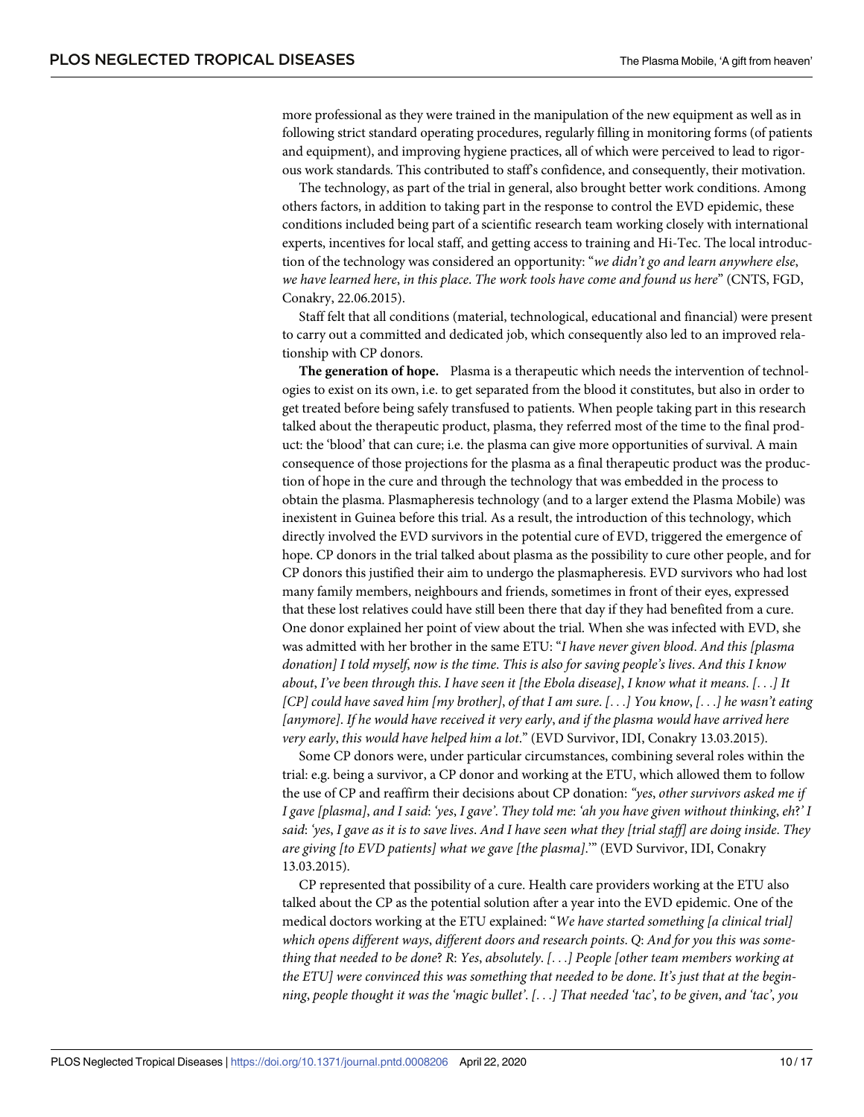more professional as they were trained in the manipulation of the new equipment as well as in following strict standard operating procedures, regularly filling in monitoring forms (of patients and equipment), and improving hygiene practices, all of which were perceived to lead to rigorous work standards. This contributed to staff's confidence, and consequently, their motivation.

The technology, as part of the trial in general, also brought better work conditions. Among others factors, in addition to taking part in the response to control the EVD epidemic, these conditions included being part of a scientific research team working closely with international experts, incentives for local staff, and getting access to training and Hi-Tec. The local introduction of the technology was considered an opportunity: "*we didn't go and learn anywhere else*, *we have learned here*, *in this place*. *The work tools have come and found us here*" (CNTS, FGD, Conakry, 22.06.2015).

Staff felt that all conditions (material, technological, educational and financial) were present to carry out a committed and dedicated job, which consequently also led to an improved relationship with CP donors.

**The generation of hope.** Plasma is a therapeutic which needs the intervention of technologies to exist on its own, i.e. to get separated from the blood it constitutes, but also in order to get treated before being safely transfused to patients. When people taking part in this research talked about the therapeutic product, plasma, they referred most of the time to the final product: the 'blood' that can cure; i.e. the plasma can give more opportunities of survival. A main consequence of those projections for the plasma as a final therapeutic product was the production of hope in the cure and through the technology that was embedded in the process to obtain the plasma. Plasmapheresis technology (and to a larger extend the Plasma Mobile) was inexistent in Guinea before this trial. As a result, the introduction of this technology, which directly involved the EVD survivors in the potential cure of EVD, triggered the emergence of hope. CP donors in the trial talked about plasma as the possibility to cure other people, and for CP donors this justified their aim to undergo the plasmapheresis. EVD survivors who had lost many family members, neighbours and friends, sometimes in front of their eyes, expressed that these lost relatives could have still been there that day if they had benefited from a cure. One donor explained her point of view about the trial. When she was infected with EVD, she was admitted with her brother in the same ETU: "*I have never given blood*. *And this [plasma* donation] I told myself, now is the time. This is also for saving people's lives. And this I know about, I've been through this. I have seen it [the Ebola disease], I know what it means.  $[\ldots]$  It [CP] could have saved him [my brother], of that I am sure. [...] You know, [...] he wasn't eating *[anymore]*. *If he would have received it very early*, *and if the plasma would have arrived here very early*, *this would have helped him a lot*." (EVD Survivor, IDI, Conakry 13.03.2015).

Some CP donors were, under particular circumstances, combining several roles within the trial: e.g. being a survivor, a CP donor and working at the ETU, which allowed them to follow the use of CP and reaffirm their decisions about CP donation: *"yes*, *other survivors asked me if* I gave [plasma], and I said: 'yes, I gave'. They told me: 'ah you have given without thinking, eh?' I said: 'yes, I gave as it is to save lives. And I have seen what they [trial staff] are doing inside. They *are giving [to EVD patients] what we gave [the plasma]*.'" (EVD Survivor, IDI, Conakry 13.03.2015).

CP represented that possibility of a cure. Health care providers working at the ETU also talked about the CP as the potential solution after a year into the EVD epidemic. One of the medical doctors working at the ETU explained: "*We have started something [a clinical trial] which opens different ways*, *different doors and research points*. *Q*: *And for you this was something that needed to be done*? *R*: *Yes*, *absolutely*. *[*. . .*] People [other team members working at the ETU] were convinced this was something that needed to be done*. *It's just that at the begin*ning, people thought it was the 'magic bullet'. [...] That needed 'tac', to be given, and 'tac', you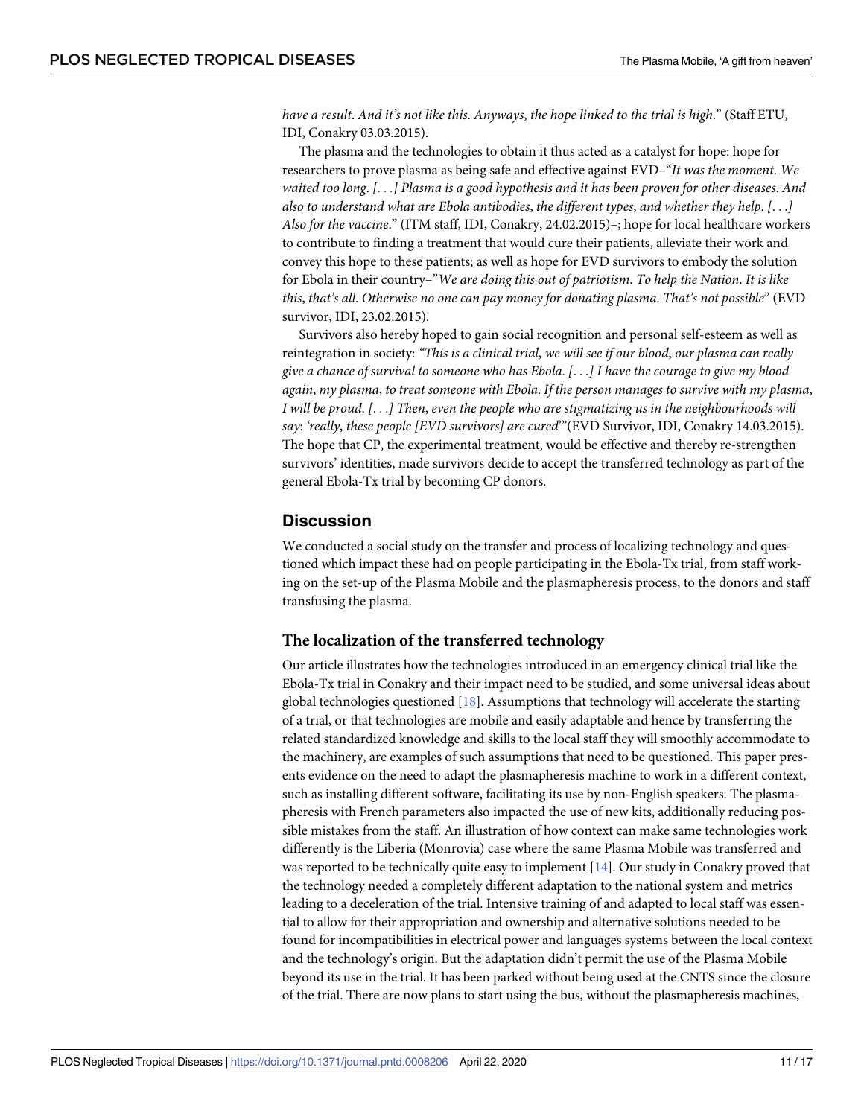*have a result*. *And it's not like this*. *Anyways*, *the hope linked to the trial is high*." (Staff ETU, IDI, Conakry 03.03.2015).

The plasma and the technologies to obtain it thus acted as a catalyst for hope: hope for researchers to prove plasma as being safe and effective against EVD–"*It was the moment*. *We* waited too long,  $[...]$  Plasma is a good hypothesis and it has been proven for other diseases. And *also to understand what are Ebola antibodies*, *the different types*, *and whether they help*. *[*. . .*] Also for the vaccine*." (ITM staff, IDI, Conakry, 24.02.2015)–; hope for local healthcare workers to contribute to finding a treatment that would cure their patients, alleviate their work and convey this hope to these patients; as well as hope for EVD survivors to embody the solution for Ebola in their country–"*We are doing this out of patriotism*. *To help the Nation*. *It is like this*, *that's all*. *Otherwise no one can pay money for donating plasma*. *That's not possible*" (EVD survivor, IDI, 23.02.2015).

Survivors also hereby hoped to gain social recognition and personal self-esteem as well as reintegration in society: *"This is a clinical trial*, *we will see if our blood*, *our plasma can really* give a chance of survival to someone who has Ebola. [...] I have the courage to give my blood *again*, *my plasma*, *to treat someone with Ebola*. *If the person manages to survive with my plasma*, *I will be proud*. *[*. . .*] Then*, *even the people who are stigmatizing us in the neighbourhoods will say*: *'really*, *these people [EVD survivors] are cured*'"(EVD Survivor, IDI, Conakry 14.03.2015). The hope that CP, the experimental treatment, would be effective and thereby re-strengthen survivors' identities, made survivors decide to accept the transferred technology as part of the general Ebola-Tx trial by becoming CP donors.

## **Discussion**

We conducted a social study on the transfer and process of localizing technology and questioned which impact these had on people participating in the Ebola-Tx trial, from staff working on the set-up of the Plasma Mobile and the plasmapheresis process, to the donors and staff transfusing the plasma.

#### **The localization of the transferred technology**

Our article illustrates how the technologies introduced in an emergency clinical trial like the Ebola-Tx trial in Conakry and their impact need to be studied, and some universal ideas about global technologies questioned [[18](#page-14-0)]. Assumptions that technology will accelerate the starting of a trial, or that technologies are mobile and easily adaptable and hence by transferring the related standardized knowledge and skills to the local staff they will smoothly accommodate to the machinery, are examples of such assumptions that need to be questioned. This paper presents evidence on the need to adapt the plasmapheresis machine to work in a different context, such as installing different software, facilitating its use by non-English speakers. The plasmapheresis with French parameters also impacted the use of new kits, additionally reducing possible mistakes from the staff. An illustration of how context can make same technologies work differently is the Liberia (Monrovia) case where the same Plasma Mobile was transferred and was reported to be technically quite easy to implement [\[14\]](#page-14-0). Our study in Conakry proved that the technology needed a completely different adaptation to the national system and metrics leading to a deceleration of the trial. Intensive training of and adapted to local staff was essential to allow for their appropriation and ownership and alternative solutions needed to be found for incompatibilities in electrical power and languages systems between the local context and the technology's origin. But the adaptation didn't permit the use of the Plasma Mobile beyond its use in the trial. It has been parked without being used at the CNTS since the closure of the trial. There are now plans to start using the bus, without the plasmapheresis machines,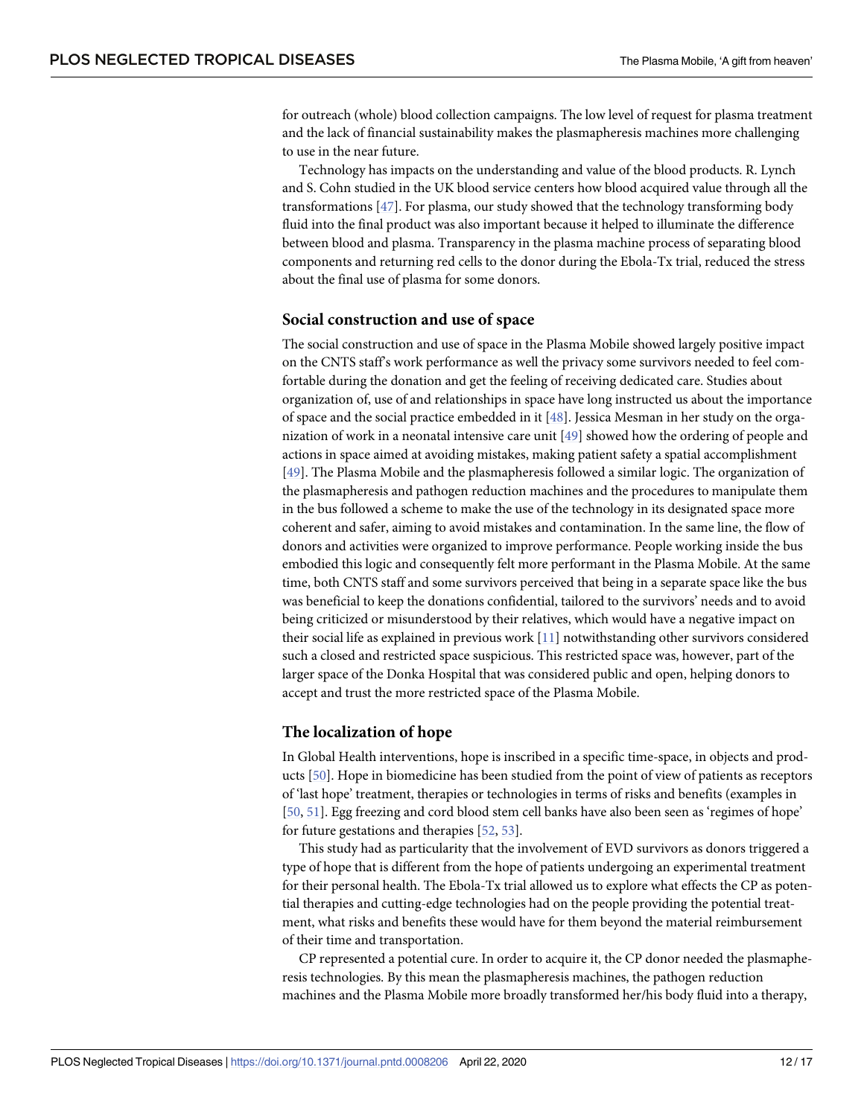<span id="page-11-0"></span>for outreach (whole) blood collection campaigns. The low level of request for plasma treatment and the lack of financial sustainability makes the plasmapheresis machines more challenging to use in the near future.

Technology has impacts on the understanding and value of the blood products. R. Lynch and S. Cohn studied in the UK blood service centers how blood acquired value through all the transformations [[47](#page-16-0)]. For plasma, our study showed that the technology transforming body fluid into the final product was also important because it helped to illuminate the difference between blood and plasma. Transparency in the plasma machine process of separating blood components and returning red cells to the donor during the Ebola-Tx trial, reduced the stress about the final use of plasma for some donors.

#### **Social construction and use of space**

The social construction and use of space in the Plasma Mobile showed largely positive impact on the CNTS staff's work performance as well the privacy some survivors needed to feel comfortable during the donation and get the feeling of receiving dedicated care. Studies about organization of, use of and relationships in space have long instructed us about the importance of space and the social practice embedded in it [[48](#page-16-0)]. Jessica Mesman in her study on the organization of work in a neonatal intensive care unit [\[49\]](#page-16-0) showed how the ordering of people and actions in space aimed at avoiding mistakes, making patient safety a spatial accomplishment [\[49\]](#page-16-0). The Plasma Mobile and the plasmapheresis followed a similar logic. The organization of the plasmapheresis and pathogen reduction machines and the procedures to manipulate them in the bus followed a scheme to make the use of the technology in its designated space more coherent and safer, aiming to avoid mistakes and contamination. In the same line, the flow of donors and activities were organized to improve performance. People working inside the bus embodied this logic and consequently felt more performant in the Plasma Mobile. At the same time, both CNTS staff and some survivors perceived that being in a separate space like the bus was beneficial to keep the donations confidential, tailored to the survivors' needs and to avoid being criticized or misunderstood by their relatives, which would have a negative impact on their social life as explained in previous work [\[11\]](#page-14-0) notwithstanding other survivors considered such a closed and restricted space suspicious. This restricted space was, however, part of the larger space of the Donka Hospital that was considered public and open, helping donors to accept and trust the more restricted space of the Plasma Mobile.

#### **The localization of hope**

In Global Health interventions, hope is inscribed in a specific time-space, in objects and products [[50](#page-16-0)]. Hope in biomedicine has been studied from the point of view of patients as receptors of 'last hope' treatment, therapies or technologies in terms of risks and benefits (examples in [\[50,](#page-16-0) [51\]](#page-16-0). Egg freezing and cord blood stem cell banks have also been seen as 'regimes of hope' for future gestations and therapies [\[52,](#page-16-0) [53\]](#page-16-0).

This study had as particularity that the involvement of EVD survivors as donors triggered a type of hope that is different from the hope of patients undergoing an experimental treatment for their personal health. The Ebola-Tx trial allowed us to explore what effects the CP as potential therapies and cutting-edge technologies had on the people providing the potential treatment, what risks and benefits these would have for them beyond the material reimbursement of their time and transportation.

CP represented a potential cure. In order to acquire it, the CP donor needed the plasmapheresis technologies. By this mean the plasmapheresis machines, the pathogen reduction machines and the Plasma Mobile more broadly transformed her/his body fluid into a therapy,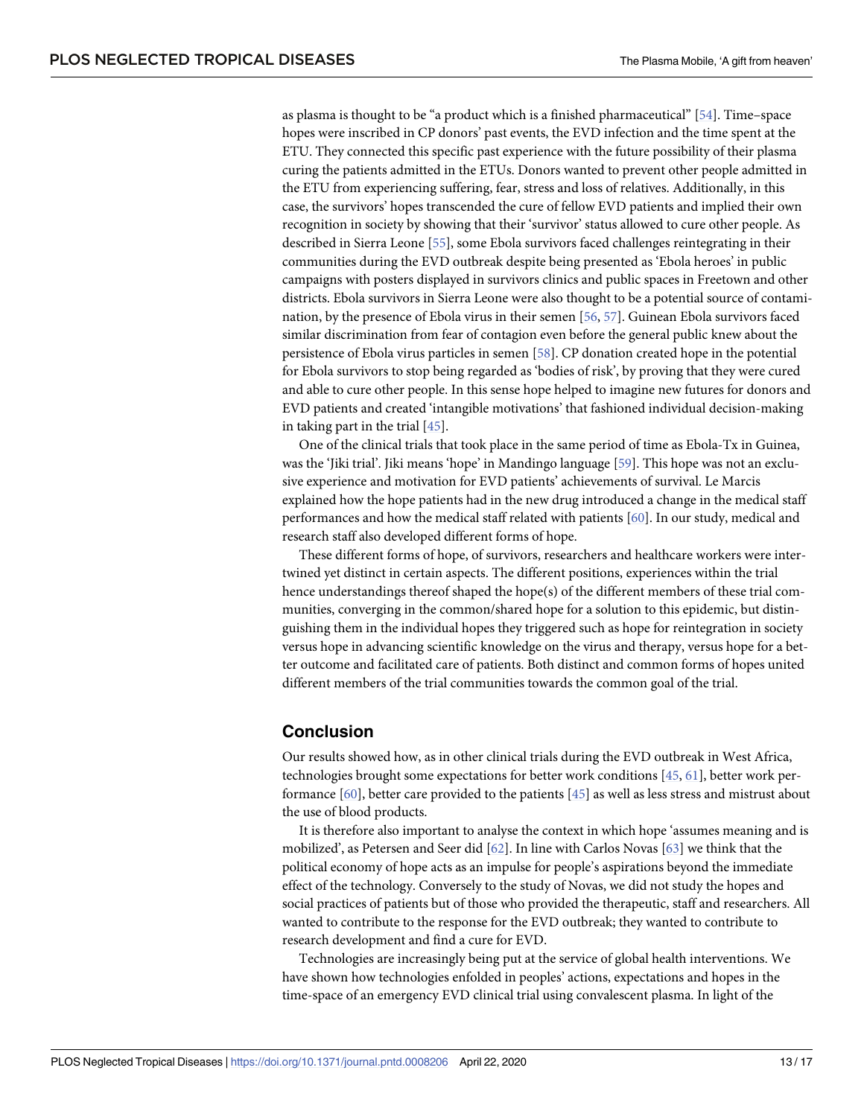<span id="page-12-0"></span>as plasma is thought to be "a product which is a finished pharmaceutical" [[54](#page-16-0)]. Time–space hopes were inscribed in CP donors' past events, the EVD infection and the time spent at the ETU. They connected this specific past experience with the future possibility of their plasma curing the patients admitted in the ETUs. Donors wanted to prevent other people admitted in the ETU from experiencing suffering, fear, stress and loss of relatives. Additionally, in this case, the survivors' hopes transcended the cure of fellow EVD patients and implied their own recognition in society by showing that their 'survivor' status allowed to cure other people. As described in Sierra Leone [[55](#page-16-0)], some Ebola survivors faced challenges reintegrating in their communities during the EVD outbreak despite being presented as 'Ebola heroes' in public campaigns with posters displayed in survivors clinics and public spaces in Freetown and other districts. Ebola survivors in Sierra Leone were also thought to be a potential source of contamination, by the presence of Ebola virus in their semen [[56](#page-16-0), [57](#page-16-0)]. Guinean Ebola survivors faced similar discrimination from fear of contagion even before the general public knew about the persistence of Ebola virus particles in semen [[58](#page-16-0)]. CP donation created hope in the potential for Ebola survivors to stop being regarded as 'bodies of risk', by proving that they were cured and able to cure other people. In this sense hope helped to imagine new futures for donors and EVD patients and created 'intangible motivations' that fashioned individual decision-making in taking part in the trial [[45](#page-16-0)].

One of the clinical trials that took place in the same period of time as Ebola-Tx in Guinea, was the 'Jiki trial'. Jiki means 'hope' in Mandingo language [\[59\]](#page-16-0). This hope was not an exclusive experience and motivation for EVD patients' achievements of survival. Le Marcis explained how the hope patients had in the new drug introduced a change in the medical staff performances and how the medical staff related with patients [\[60\]](#page-16-0). In our study, medical and research staff also developed different forms of hope.

These different forms of hope, of survivors, researchers and healthcare workers were intertwined yet distinct in certain aspects. The different positions, experiences within the trial hence understandings thereof shaped the hope(s) of the different members of these trial communities, converging in the common/shared hope for a solution to this epidemic, but distinguishing them in the individual hopes they triggered such as hope for reintegration in society versus hope in advancing scientific knowledge on the virus and therapy, versus hope for a better outcome and facilitated care of patients. Both distinct and common forms of hopes united different members of the trial communities towards the common goal of the trial.

### **Conclusion**

Our results showed how, as in other clinical trials during the EVD outbreak in West Africa, technologies brought some expectations for better work conditions [[45](#page-16-0), [61](#page-16-0)], better work performance [[60](#page-16-0)], better care provided to the patients [\[45\]](#page-16-0) as well as less stress and mistrust about the use of blood products.

It is therefore also important to analyse the context in which hope 'assumes meaning and is mobilized', as Petersen and Seer did [\[62\]](#page-16-0). In line with Carlos Novas [\[63\]](#page-16-0) we think that the political economy of hope acts as an impulse for people's aspirations beyond the immediate effect of the technology. Conversely to the study of Novas, we did not study the hopes and social practices of patients but of those who provided the therapeutic, staff and researchers. All wanted to contribute to the response for the EVD outbreak; they wanted to contribute to research development and find a cure for EVD.

Technologies are increasingly being put at the service of global health interventions. We have shown how technologies enfolded in peoples' actions, expectations and hopes in the time-space of an emergency EVD clinical trial using convalescent plasma. In light of the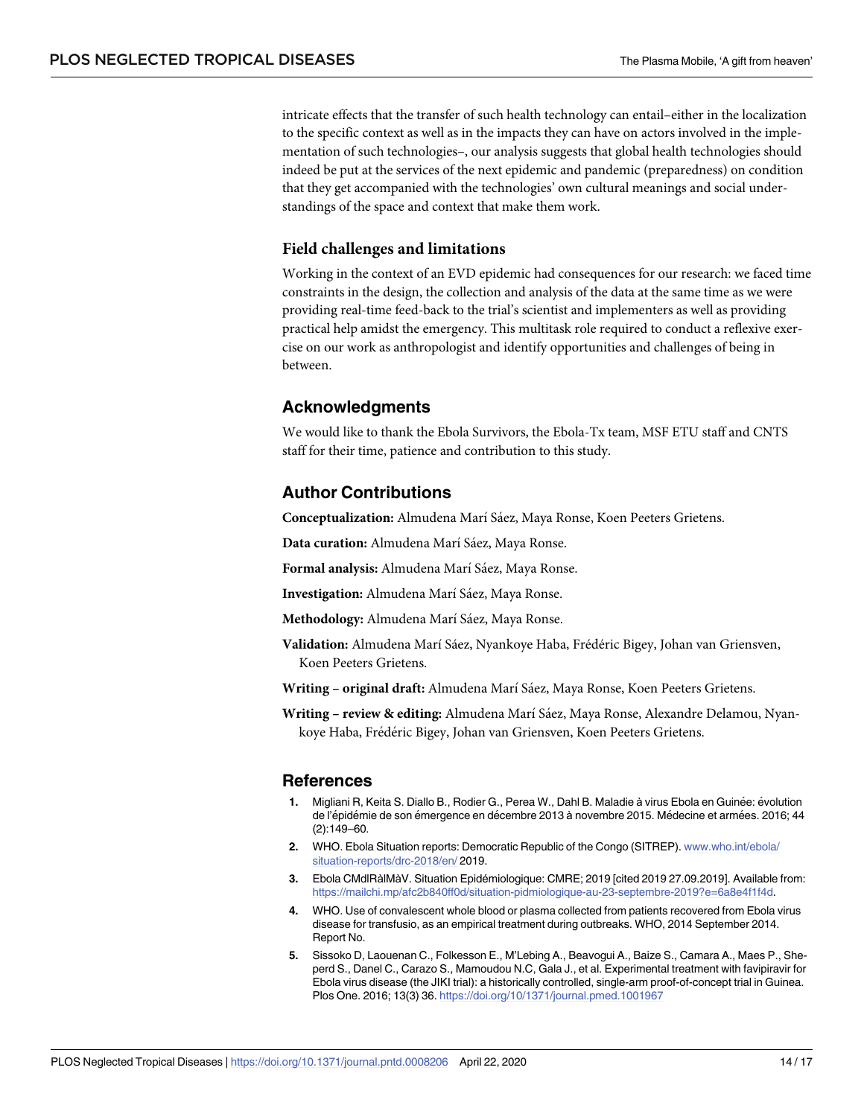<span id="page-13-0"></span>intricate effects that the transfer of such health technology can entail–either in the localization to the specific context as well as in the impacts they can have on actors involved in the implementation of such technologies–, our analysis suggests that global health technologies should indeed be put at the services of the next epidemic and pandemic (preparedness) on condition that they get accompanied with the technologies' own cultural meanings and social understandings of the space and context that make them work.

#### **Field challenges and limitations**

Working in the context of an EVD epidemic had consequences for our research: we faced time constraints in the design, the collection and analysis of the data at the same time as we were providing real-time feed-back to the trial's scientist and implementers as well as providing practical help amidst the emergency. This multitask role required to conduct a reflexive exercise on our work as anthropologist and identify opportunities and challenges of being in between.

### **Acknowledgments**

We would like to thank the Ebola Survivors, the Ebola-Tx team, MSF ETU staff and CNTS staff for their time, patience and contribution to this study.

### **Author Contributions**

**Conceptualization:** Almudena Marı´ Sa´ez, Maya Ronse, Koen Peeters Grietens.

Data curation: Almudena Marí Sáez, Maya Ronse.

**Formal analysis:** Almudena Marí Sáez, Maya Ronse.

**Investigation:** Almudena Marí Sáez, Maya Ronse.

Methodology: Almudena Marí Sáez, Maya Ronse.

Validation: Almudena Marí Sáez, Nyankoye Haba, Frédéric Bigey, Johan van Griensven, Koen Peeters Grietens.

**Writing – original draft:** Almudena Marı´ Sa´ez, Maya Ronse, Koen Peeters Grietens.

**Writing – review & editing:** Almudena Marı´ Sa´ez, Maya Ronse, Alexandre Delamou, Nyankoye Haba, Frédéric Bigey, Johan van Griensven, Koen Peeters Grietens.

#### **References**

- **[1](#page-1-0).** Migliani R, Keita S. Diallo B., Rodier G., Perea W., Dahl B. Maladie à virus Ebola en Guinée: évolution de l'épidémie de son émergence en décembre 2013 à novembre 2015. Médecine et armées. 2016; 44 (2):149–60.
- **[2](#page-1-0).** WHO. Ebola Situation reports: Democratic Republic of the Congo (SITREP). [www.who.int/ebola/](http://www.who.int/ebola/situation-reports/drc-2018/en/) [situation-reports/drc-2018/en/](http://www.who.int/ebola/situation-reports/drc-2018/en/) 2019.
- **[3](#page-1-0).** Ebola CMdlRàlMàV. Situation Epidémiologique: CMRE; 2019 [cited 2019 27.09.2019]. Available from: <https://mailchi.mp/afc2b840ff0d/situation-pidmiologique-au-23-septembre-2019?e=6a8e4f1f4d>.
- **[4](#page-1-0).** WHO. Use of convalescent whole blood or plasma collected from patients recovered from Ebola virus disease for transfusio, as an empirical treatment during outbreaks. WHO, 2014 September 2014. Report No.
- **[5](#page-1-0).** Sissoko D, Laouenan C., Folkesson E., M'Lebing A., Beavogui A., Baize S., Camara A., Maes P., Sheperd S., Danel C., Carazo S., Mamoudou N.C, Gala J., et al. Experimental treatment with favipiravir for Ebola virus disease (the JIKI trial): a historically controlled, single-arm proof-of-concept trial in Guinea. Plos One. 2016; 13(3) 36. <https://doi.org/10/1371/journal.pmed.1001967>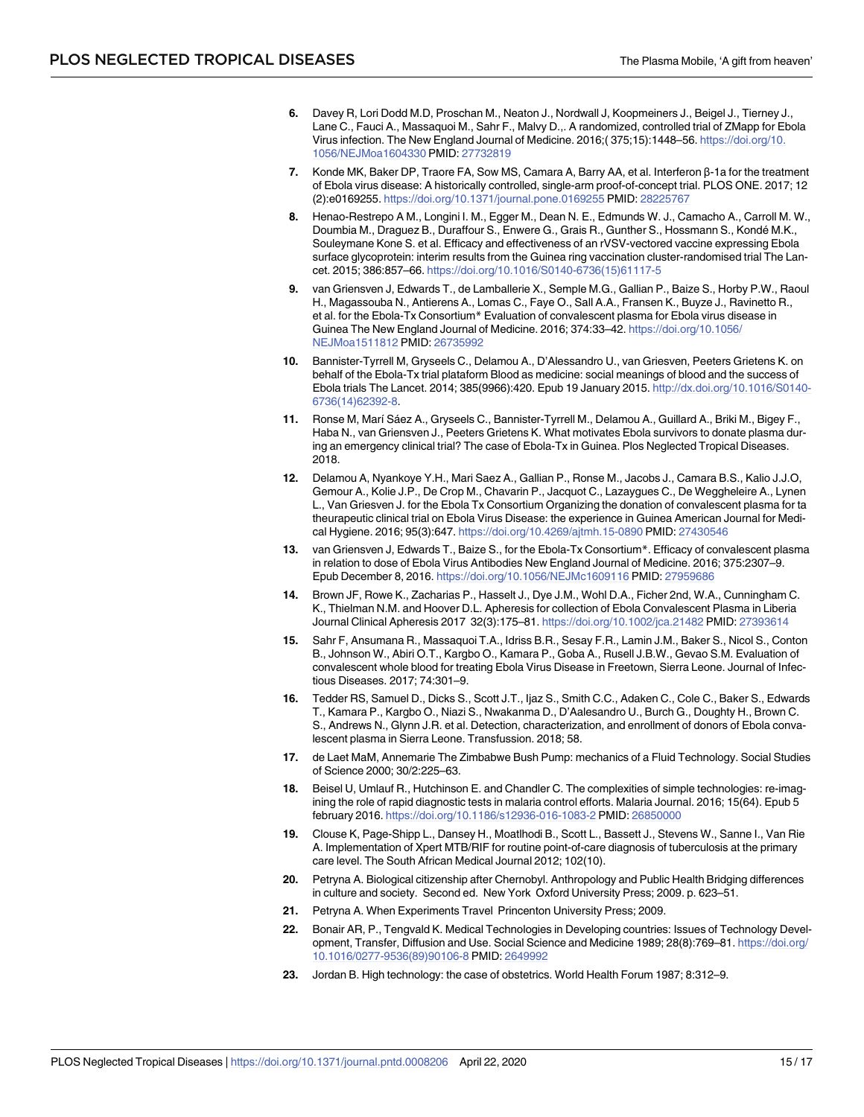- <span id="page-14-0"></span>**[6](#page-1-0).** Davey R, Lori Dodd M.D, Proschan M., Neaton J., Nordwall J, Koopmeiners J., Beigel J., Tierney J., Lane C., Fauci A., Massaquoi M., Sahr F., Malvy D.,. A randomized, controlled trial of ZMapp for Ebola Virus infection. The New England Journal of Medicine. 2016;( 375;15):1448–56. [https://doi.org/10.](https://doi.org/10.1056/NEJMoa1604330) [1056/NEJMoa1604330](https://doi.org/10.1056/NEJMoa1604330) PMID: [27732819](http://www.ncbi.nlm.nih.gov/pubmed/27732819)
- **[7](#page-1-0).** Konde MK, Baker DP, Traore FA, Sow MS, Camara A, Barry AA, et al. Interferon β-1a for the treatment of Ebola virus disease: A historically controlled, single-arm proof-of-concept trial. PLOS ONE. 2017; 12 (2):e0169255. <https://doi.org/10.1371/journal.pone.0169255> PMID: [28225767](http://www.ncbi.nlm.nih.gov/pubmed/28225767)
- **[8](#page-1-0).** Henao-Restrepo A M., Longini I. M., Egger M., Dean N. E., Edmunds W. J., Camacho A., Carroll M. W., Doumbia M., Draguez B., Duraffour S., Enwere G., Grais R., Gunther S., Hossmann S., Konde´ M.K., Souleymane Kone S. et al. Efficacy and effectiveness of an rVSV-vectored vaccine expressing Ebola surface glycoprotein: interim results from the Guinea ring vaccination cluster-randomised trial The Lancet. 2015; 386:857–66. [https://doi.org/10.1016/S0140-6736\(15\)61117-5](https://doi.org/10.1016/S0140-6736(15)61117-5)
- **[9](#page-1-0).** van Griensven J, Edwards T., de Lamballerie X., Semple M.G., Gallian P., Baize S., Horby P.W., Raoul H., Magassouba N., Antierens A., Lomas C., Faye O., Sall A.A., Fransen K., Buyze J., Ravinetto R., et al. for the Ebola-Tx Consortium\* Evaluation of convalescent plasma for Ebola virus disease in Guinea The New England Journal of Medicine. 2016; 374:33–42. [https://doi.org/10.1056/](https://doi.org/10.1056/NEJMoa1511812) [NEJMoa1511812](https://doi.org/10.1056/NEJMoa1511812) PMID: [26735992](http://www.ncbi.nlm.nih.gov/pubmed/26735992)
- **[10](#page-1-0).** Bannister-Tyrrell M, Gryseels C., Delamou A., D'Alessandro U., van Griesven, Peeters Grietens K. on behalf of the Ebola-Tx trial plataform Blood as medicine: social meanings of blood and the success of Ebola trials The Lancet. 2014; 385(9966):420. Epub 19 January 2015. [http://dx.doi.org/10.1016/S0140-](http://dx.doi.org/10.1016/S0140-6736(14)62392-8) [6736\(14\)62392-8.](http://dx.doi.org/10.1016/S0140-6736(14)62392-8)
- **[11](#page-1-0).** Ronse M, Marí Sáez A., Gryseels C., Bannister-Tyrrell M., Delamou A., Guillard A., Briki M., Bigey F., Haba N., van Griensven J., Peeters Grietens K. What motivates Ebola survivors to donate plasma during an emergency clinical trial? The case of Ebola-Tx in Guinea. Plos Neglected Tropical Diseases. 2018.
- **[12](#page-1-0).** Delamou A, Nyankoye Y.H., Mari Saez A., Gallian P., Ronse M., Jacobs J., Camara B.S., Kalio J.J.O, Gemour A., Kolie J.P., De Crop M., Chavarin P., Jacquot C., Lazaygues C., De Weggheleire A., Lynen L., Van Griesven J. for the Ebola Tx Consortium Organizing the donation of convalescent plasma for ta theurapeutic clinical trial on Ebola Virus Disease: the experience in Guinea American Journal for Medical Hygiene. 2016; 95(3):647. <https://doi.org/10.4269/ajtmh.15-0890> PMID: [27430546](http://www.ncbi.nlm.nih.gov/pubmed/27430546)
- **[13](#page-1-0).** van Griensven J, Edwards T., Baize S., for the Ebola-Tx Consortium\*. Efficacy of convalescent plasma in relation to dose of Ebola Virus Antibodies New England Journal of Medicine. 2016; 375:2307–9. Epub December 8, 2016. <https://doi.org/10.1056/NEJMc1609116> PMID: [27959686](http://www.ncbi.nlm.nih.gov/pubmed/27959686)
- **[14](#page-1-0).** Brown JF, Rowe K., Zacharias P., Hasselt J., Dye J.M., Wohl D.A., Ficher 2nd, W.A., Cunningham C. K., Thielman N.M. and Hoover D.L. Apheresis for collection of Ebola Convalescent Plasma in Liberia Journal Clinical Apheresis 2017 32(3):175–81. <https://doi.org/10.1002/jca.21482> PMID: [27393614](http://www.ncbi.nlm.nih.gov/pubmed/27393614)
- **[15](#page-2-0).** Sahr F, Ansumana R., Massaquoi T.A., Idriss B.R., Sesay F.R., Lamin J.M., Baker S., Nicol S., Conton B., Johnson W., Abiri O.T., Kargbo O., Kamara P., Goba A., Rusell J.B.W., Gevao S.M. Evaluation of convalescent whole blood for treating Ebola Virus Disease in Freetown, Sierra Leone. Journal of Infectious Diseases. 2017; 74:301–9.
- **[16](#page-1-0).** Tedder RS, Samuel D., Dicks S., Scott J.T., Ijaz S., Smith C.C., Adaken C., Cole C., Baker S., Edwards T., Kamara P., Kargbo O., Niazi S., Nwakanma D., D'Aalesandro U., Burch G., Doughty H., Brown C. S., Andrews N., Glynn J.R. et al. Detection, characterization, and enrollment of donors of Ebola convalescent plasma in Sierra Leone. Transfussion. 2018; 58.
- **[17](#page-2-0).** de Laet MaM, Annemarie The Zimbabwe Bush Pump: mechanics of a Fluid Technology. Social Studies of Science 2000; 30/2:225–63.
- **[18](#page-2-0).** Beisel U, Umlauf R., Hutchinson E. and Chandler C. The complexities of simple technologies: re-imagining the role of rapid diagnostic tests in malaria control efforts. Malaria Journal. 2016; 15(64). Epub 5 february 2016. <https://doi.org/10.1186/s12936-016-1083-2> PMID: [26850000](http://www.ncbi.nlm.nih.gov/pubmed/26850000)
- **19.** Clouse K, Page-Shipp L., Dansey H., Moatlhodi B., Scott L., Bassett J., Stevens W., Sanne I., Van Rie A. Implementation of Xpert MTB/RIF for routine point-of-care diagnosis of tuberculosis at the primary care level. The South African Medical Journal 2012; 102(10).
- **20.** Petryna A. Biological citizenship after Chernobyl. Anthropology and Public Health Bridging differences in culture and society. Second ed. New York Oxford University Press; 2009. p. 623–51.
- **[21](#page-2-0).** Petryna A. When Experiments Travel Princenton University Press; 2009.
- **[22](#page-2-0).** Bonair AR, P., Tengvald K. Medical Technologies in Developing countries: Issues of Technology Development, Transfer, Diffusion and Use. Social Science and Medicine 1989; 28(8):769–81. [https://doi.org/](https://doi.org/10.1016/0277-9536(89)90106-8) [10.1016/0277-9536\(89\)90106-8](https://doi.org/10.1016/0277-9536(89)90106-8) PMID: [2649992](http://www.ncbi.nlm.nih.gov/pubmed/2649992)
- **[23](#page-2-0).** Jordan B. High technology: the case of obstetrics. World Health Forum 1987; 8:312–9.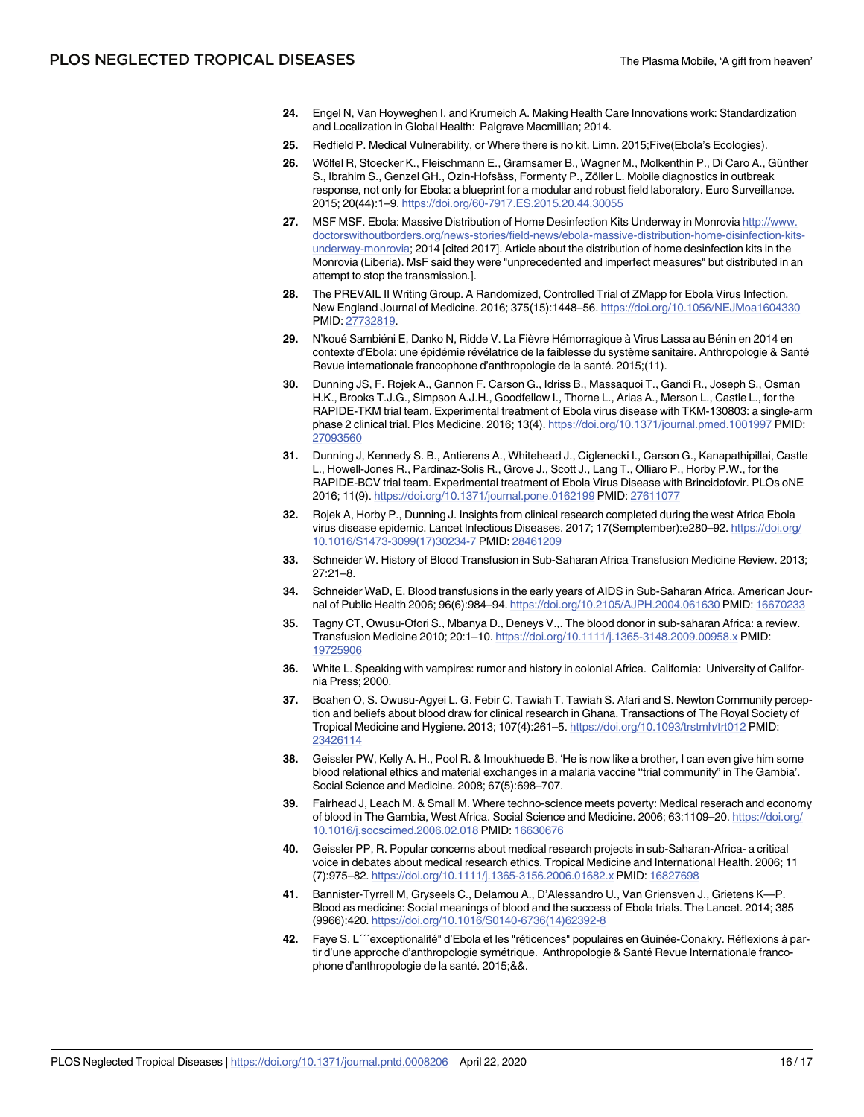- <span id="page-15-0"></span>**[24](#page-2-0).** Engel N, Van Hoyweghen I. and Krumeich A. Making Health Care Innovations work: Standardization and Localization in Global Health: Palgrave Macmillian; 2014.
- **[25](#page-2-0).** Redfield P. Medical Vulnerability, or Where there is no kit. Limn. 2015;Five(Ebola's Ecologies).
- [26](#page-2-0). Wölfel R, Stoecker K., Fleischmann E., Gramsamer B., Wagner M., Molkenthin P., Di Caro A., Günther S., Ibrahim S., Genzel GH., Ozin-Hofsäss, Formenty P., Zöller L. Mobile diagnostics in outbreak response, not only for Ebola: a blueprint for a modular and robust field laboratory. Euro Surveillance. 2015; 20(44):1–9. <https://doi.org/60-7917.ES.2015.20.44.30055>
- **[27](#page-2-0).** MSF MSF. Ebola: Massive Distribution of Home Desinfection Kits Underway in Monrovia [http://www.](http://www.doctorswithoutborders.org/news-stories/field-news/ebola-massive-distribution-home-disinfection-kits-underway-monrovia) [doctorswithoutborders.org/news-stories/field-news/ebola-massive-distribution-home-disinfection-kits](http://www.doctorswithoutborders.org/news-stories/field-news/ebola-massive-distribution-home-disinfection-kits-underway-monrovia)[underway-monrovia](http://www.doctorswithoutborders.org/news-stories/field-news/ebola-massive-distribution-home-disinfection-kits-underway-monrovia); 2014 [cited 2017]. Article about the distribution of home desinfection kits in the Monrovia (Liberia). MsF said they were "unprecedented and imperfect measures" but distributed in an attempt to stop the transmission.].
- **[28](#page-2-0).** The PREVAIL II Writing Group. A Randomized, Controlled Trial of ZMapp for Ebola Virus Infection. New England Journal of Medicine. 2016; 375(15):1448–56. <https://doi.org/10.1056/NEJMoa1604330> PMID: [27732819](http://www.ncbi.nlm.nih.gov/pubmed/27732819).
- 29. N'koué Sambiéni E, Danko N, Ridde V. La Fièvre Hémorragique à Virus Lassa au Bénin en 2014 en contexte d'Ebola: une épidémie révélatrice de la faiblesse du système sanitaire. Anthropologie & Santé Revue internationale francophone d'anthropologie de la santé. 2015;(11).
- **30.** Dunning JS, F. Rojek A., Gannon F. Carson G., Idriss B., Massaquoi T., Gandi R., Joseph S., Osman H.K., Brooks T.J.G., Simpson A.J.H., Goodfellow I., Thorne L., Arias A., Merson L., Castle L., for the RAPIDE-TKM trial team. Experimental treatment of Ebola virus disease with TKM-130803: a single-arm phase 2 clinical trial. Plos Medicine. 2016; 13(4). <https://doi.org/10.1371/journal.pmed.1001997> PMID: [27093560](http://www.ncbi.nlm.nih.gov/pubmed/27093560)
- **31.** Dunning J, Kennedy S. B., Antierens A., Whitehead J., Ciglenecki I., Carson G., Kanapathipillai, Castle L., Howell-Jones R., Pardinaz-Solis R., Grove J., Scott J., Lang T., Olliaro P., Horby P.W., for the RAPIDE-BCV trial team. Experimental treatment of Ebola Virus Disease with Brincidofovir. PLOs oNE 2016; 11(9). <https://doi.org/10.1371/journal.pone.0162199> PMID: [27611077](http://www.ncbi.nlm.nih.gov/pubmed/27611077)
- **[32](#page-2-0).** Rojek A, Horby P., Dunning J. Insights from clinical research completed during the west Africa Ebola virus disease epidemic. Lancet Infectious Diseases. 2017; 17(Semptember):e280–92. [https://doi.org/](https://doi.org/10.1016/S1473-3099(17)30234-7) [10.1016/S1473-3099\(17\)30234-7](https://doi.org/10.1016/S1473-3099(17)30234-7) PMID: [28461209](http://www.ncbi.nlm.nih.gov/pubmed/28461209)
- **[33](#page-2-0).** Schneider W. History of Blood Transfusion in Sub-Saharan Africa Transfusion Medicine Review. 2013; 27:21–8.
- **[34](#page-2-0).** Schneider WaD, E. Blood transfusions in the early years of AIDS in Sub-Saharan Africa. American Journal of Public Health 2006; 96(6):984–94. <https://doi.org/10.2105/AJPH.2004.061630> PMID: [16670233](http://www.ncbi.nlm.nih.gov/pubmed/16670233)
- **[35](#page-2-0).** Tagny CT, Owusu-Ofori S., Mbanya D., Deneys V.,. The blood donor in sub-saharan Africa: a review. Transfusion Medicine 2010; 20:1–10. <https://doi.org/10.1111/j.1365-3148.2009.00958.x> PMID: [19725906](http://www.ncbi.nlm.nih.gov/pubmed/19725906)
- **[36](#page-2-0).** White L. Speaking with vampires: rumor and history in colonial Africa. California: University of California Press; 2000.
- **[37](#page-2-0).** Boahen O, S. Owusu-Agyei L. G. Febir C. Tawiah T. Tawiah S. Afari and S. Newton Community perception and beliefs about blood draw for clinical research in Ghana. Transactions of The Royal Society of Tropical Medicine and Hygiene. 2013; 107(4):261–5. <https://doi.org/10.1093/trstmh/trt012> PMID: [23426114](http://www.ncbi.nlm.nih.gov/pubmed/23426114)
- **[38](#page-2-0).** Geissler PW, Kelly A. H., Pool R. & Imoukhuede B. 'He is now like a brother, I can even give him some blood relational ethics and material exchanges in a malaria vaccine ''trial community" in The Gambia'. Social Science and Medicine. 2008; 67(5):698–707.
- **39.** Fairhead J, Leach M. & Small M. Where techno-science meets poverty: Medical reserach and economy of blood in The Gambia, West Africa. Social Science and Medicine. 2006; 63:1109–20. [https://doi.org/](https://doi.org/10.1016/j.socscimed.2006.02.018) [10.1016/j.socscimed.2006.02.018](https://doi.org/10.1016/j.socscimed.2006.02.018) PMID: [16630676](http://www.ncbi.nlm.nih.gov/pubmed/16630676)
- **40.** Geissler PP, R. Popular concerns about medical research projects in sub-Saharan-Africa- a critical voice in debates about medical research ethics. Tropical Medicine and International Health. 2006; 11 (7):975–82. <https://doi.org/10.1111/j.1365-3156.2006.01682.x> PMID: [16827698](http://www.ncbi.nlm.nih.gov/pubmed/16827698)
- **[41](#page-2-0).** Bannister-Tyrrell M, Gryseels C., Delamou A., D'Alessandro U., Van Griensven J., Grietens K—P. Blood as medicine: Social meanings of blood and the success of Ebola trials. The Lancet. 2014; 385 (9966):420. [https://doi.org/10.1016/S0140-6736\(14\)62392-8](https://doi.org/10.1016/S0140-6736(14)62392-8)
- 42. Faye S. L<sup>'''</sup>exceptionalité" d'Ebola et les "réticences" populaires en Guinée-Conakry. Réflexions à partir d'une approche d'anthropologie symétrique. Anthropologie & Santé Revue Internationale francophone d'anthropologie de la santé. 2015;&&.